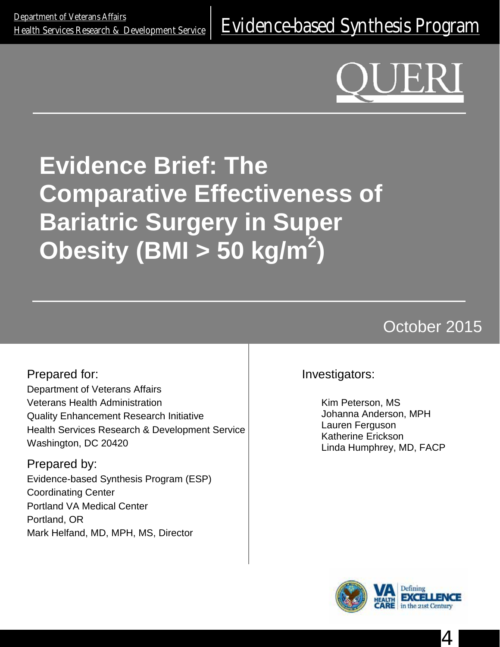<u>Department of Veteralis Alialis</u><br>[Health Services Research & Development Service](http://www.hsrd.research.va.gov/) E**Vidence-based Synthesis Program** 

# **Evidence Brief: The Comparative Effectiveness of Bariatric Surgery in Super Obesity (BMI > 50 kg/m2 )**

## October 2015

Prepared for: Department of Veterans Affairs Veterans Health Administration Quality Enhancement Research Initiative Health Services Research & Development Service Washington, DC 20420

Prepared by: Evidence-based Synthesis Program (ESP) Coordinating Center Portland VA Medical Center Portland, OR Mark Helfand, MD, MPH, MS, Director

Investigators:

Kim Peterson, MS Johanna Anderson, MPH Lauren Ferguson Katherine Erickson Linda Humphrey, MD, FACP



4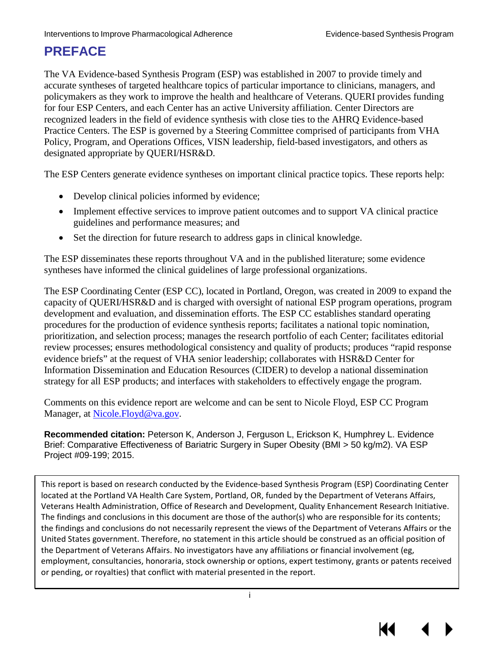## **PREFACE**

The VA Evidence-based Synthesis Program (ESP) was established in 2007 to provide timely and accurate syntheses of targeted healthcare topics of particular importance to clinicians, managers, and policymakers as they work to improve the health and healthcare of Veterans. QUERI provides funding for four ESP Centers, and each Center has an active University affiliation. Center Directors are recognized leaders in the field of evidence synthesis with close ties to the AHRQ Evidence-based Practice Centers. The ESP is governed by a Steering Committee comprised of participants from VHA Policy, Program, and Operations Offices, VISN leadership, field-based investigators, and others as designated appropriate by QUERI/HSR&D.

The ESP Centers generate evidence syntheses on important clinical practice topics. These reports help:

- Develop clinical policies informed by evidence;
- Implement effective services to improve patient outcomes and to support VA clinical practice guidelines and performance measures; and
- Set the direction for future research to address gaps in clinical knowledge.

The ESP disseminates these reports throughout VA and in the published literature; some evidence syntheses have informed the clinical guidelines of large professional organizations.

The ESP Coordinating Center (ESP CC), located in Portland, Oregon, was created in 2009 to expand the capacity of QUERI/HSR&D and is charged with oversight of national ESP program operations, program development and evaluation, and dissemination efforts. The ESP CC establishes standard operating procedures for the production of evidence synthesis reports; facilitates a national topic nomination, prioritization, and selection process; manages the research portfolio of each Center; facilitates editorial review processes; ensures methodological consistency and quality of products; produces "rapid response evidence briefs" at the request of VHA senior leadership; collaborates with HSR&D Center for Information Dissemination and Education Resources (CIDER) to develop a national dissemination strategy for all ESP products; and interfaces with stakeholders to effectively engage the program.

Comments on this evidence report are welcome and can be sent to Nicole Floyd, ESP CC Program Manager, at Nicole. Floyd@va.gov.

**Recommended citation:** Peterson K, Anderson J, Ferguson L, Erickson K, Humphrey L. Evidence Brief: Comparative Effectiveness of Bariatric Surgery in Super Obesity (BMI > 50 kg/m2). VA ESP Project #09-199; 2015.

This report is based on research conducted by the Evidence-based Synthesis Program (ESP) Coordinating Center located at the Portland VA Health Care System, Portland, OR, funded by the Department of Veterans Affairs, Veterans Health Administration, Office of Research and Development, Quality Enhancement Research Initiative. The findings and conclusions in this document are those of the author(s) who are responsible for its contents; the findings and conclusions do not necessarily represent the views of the Department of Veterans Affairs or the United States government. Therefore, no statement in this article should be construed as an official position of the Department of Veterans Affairs. No investigators have any affiliations or financial involvement (eg, employment, consultancies, honoraria, stock ownership or options, expert testimony, grants or patents received or pending, or royalties) that conflict with material presented in the report.

i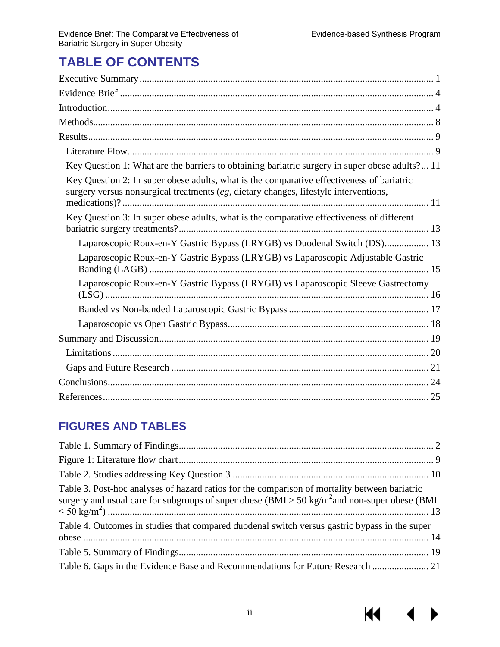$M \rightarrow$ 

## **TABLE OF CONTENTS**

| Key Question 1: What are the barriers to obtaining bariatric surgery in super obese adults? 11                                                                                      |
|-------------------------------------------------------------------------------------------------------------------------------------------------------------------------------------|
| Key Question 2: In super obese adults, what is the comparative effectiveness of bariatric<br>surgery versus nonsurgical treatments $(eg,$ dietary changes, lifestyle interventions, |
| Key Question 3: In super obese adults, what is the comparative effectiveness of different                                                                                           |
| Laparoscopic Roux-en-Y Gastric Bypass (LRYGB) vs Duodenal Switch (DS) 13                                                                                                            |
| Laparoscopic Roux-en-Y Gastric Bypass (LRYGB) vs Laparoscopic Adjustable Gastric                                                                                                    |
| Laparoscopic Roux-en-Y Gastric Bypass (LRYGB) vs Laparoscopic Sleeve Gastrectomy                                                                                                    |
|                                                                                                                                                                                     |
|                                                                                                                                                                                     |
|                                                                                                                                                                                     |
|                                                                                                                                                                                     |
|                                                                                                                                                                                     |
|                                                                                                                                                                                     |
|                                                                                                                                                                                     |

## **FIGURES AND TABLES**

| Table 3. Post-hoc analyses of hazard ratios for the comparison of mortality between bariatric<br>surgery and usual care for subgroups of super obese $(BMI > 50 \text{ kg/m}^2$ and non-super obese (BMI |  |
|----------------------------------------------------------------------------------------------------------------------------------------------------------------------------------------------------------|--|
| Table 4. Outcomes in studies that compared duodenal switch versus gastric bypass in the super                                                                                                            |  |
|                                                                                                                                                                                                          |  |
|                                                                                                                                                                                                          |  |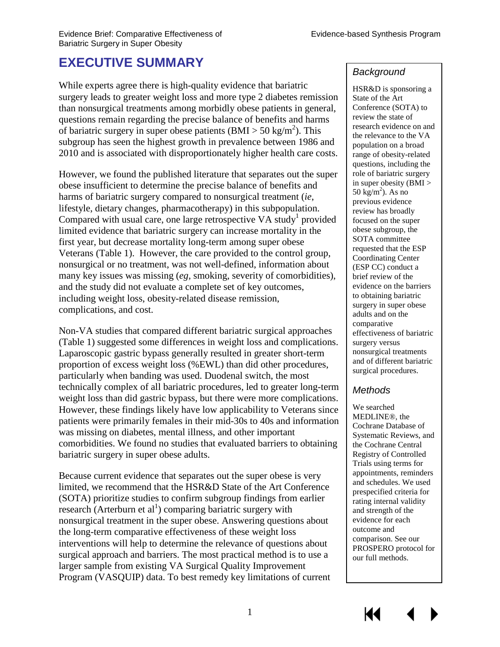## <span id="page-3-0"></span>**EXECUTIVE SUMMARY**

While experts agree there is high-quality evidence that bariatric surgery leads to greater weight loss and more type 2 diabetes remission than nonsurgical treatments among morbidly obese patients in general, questions remain regarding the precise balance of benefits and harms of bariatric surgery in super obese patients  $(BMI > 50 \text{ kg/m}^2)$ . This subgroup has seen the highest growth in prevalence between 1986 and 2010 and is associated with disproportionately higher health care costs.

However, we found the published literature that separates out the super obese insufficient to determine the precise balance of benefits and harms of bariatric surgery compared to nonsurgical treatment (*ie*, lifestyle, dietary changes, pharmacotherapy) in this subpopulation. Compared with usual care, one large retrospective VA study<sup>1</sup> provided limited evidence that bariatric surgery can increase mortality in the first year, but decrease mortality long-term among super obese Veterans (Table 1). However, the care provided to the control group, nonsurgical or no treatment, was not well-defined, information about many key issues was missing (*eg,* smoking, severity of comorbidities), and the study did not evaluate a complete set of key outcomes, including weight loss, obesity-related disease remission, complications, and cost.

Non-VA studies that compared different bariatric surgical approaches (Table 1) suggested some differences in weight loss and complications. Laparoscopic gastric bypass generally resulted in greater short-term proportion of excess weight loss (%EWL) than did other procedures, particularly when banding was used. Duodenal switch, the most technically complex of all bariatric procedures, led to greater long-term weight loss than did gastric bypass, but there were more complications. However, these findings likely have low applicability to Veterans since patients were primarily females in their mid-30s to 40s and information was missing on diabetes, mental illness, and other important comorbidities. We found no studies that evaluated barriers to obtaining bariatric surgery in super obese adults.

Because current evidence that separates out the super obese is very limited, we recommend that the HSR&D State of the Art Conference (SOTA) prioritize studies to confirm subgroup findings from earlier research (Arterburn et a[l](#page-27-0)<sup>1</sup>) comparing bariatric surgery with nonsurgical treatment in the super obese. Answering questions about the long-term comparative effectiveness of these weight loss interventions will help to determine the relevance of questions about surgical approach and barriers. The most practical method is to use a larger sample from existing VA Surgical Quality Improvement Program (VASQUIP) data. To best remedy key limitations of current

#### *Background*

HSR&D is sponsoring a State of the Art Conference (SOTA) to review the state of research evidence on and the relevance to the VA population on a broad range of obesity-related questions, including the role of bariatric surgery in super obesity  $(BMI >$  $50 \text{ kg/m}^2$ ). As no previous evidence review has broadly focused on the super obese subgroup, the SOTA committee requested that the ESP Coordinating Center (ESP CC) conduct a brief review of the evidence on the barriers to obtaining bariatric surgery in super obese adults and on the comparative effectiveness of bariatric surgery versus nonsurgical treatments and of different bariatric surgical procedures.

#### *Methods*

We searched MEDLINE®, the Cochrane Database of Systematic Reviews, and the Cochrane Central Registry of Controlled Trials using terms for appointments, reminders and schedules. We used prespecified criteria for rating internal validity and strength of the evidence for each outcome and comparison. See our PROSPERO protocol for our full methods.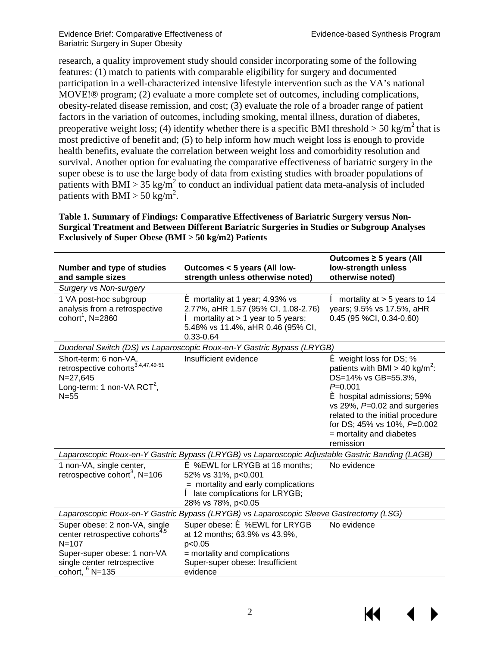research, a quality improvement study should consider incorporating some of the following features: (1) match to patients with comparable eligibility for surgery and documented participation in a well-characterized intensive lifestyle intervention such as the VA's national MOVE!® program; (2) evaluate a more complete set of outcomes, including complications, obesity-related disease remission, and cost; (3) evaluate the role of a broader range of patient factors in the variation of outcomes, including smoking, mental illness, duration of diabetes, preoperative weight loss; (4) identify whether there is a specific BMI threshold  $>$  50 kg/m<sup>2</sup> that is most predictive of benefit and; (5) to help inform how much weight loss is enough to provide health benefits, evaluate the correlation between weight loss and comorbidity resolution and survival. Another option for evaluating the comparative effectiveness of bariatric surgery in the super obese is to use the large body of data from existing studies with broader populations of patients with BMI > 35 kg/m<sup>2</sup> to conduct an individual patient data meta-analysis of included patients with BMI > 50 kg/m<sup>2</sup>.

<span id="page-4-0"></span>**Table 1. Summary of Findings: Comparative Effectiveness of Bariatric Surgery versus Non-Surgical Treatment and Between Different Bariatric Surgeries in Studies or Subgroup Analyses Exclusively of Super Obese (BMI > 50 kg/m2) Patients** 

| Number and type of studies<br>and sample sizes                                                                                                                               | Outcomes < 5 years (All low-<br>strength unless otherwise noted)                                                                                                               | Outcomes $\geq$ 5 years (All<br>low-strength unless<br>otherwise noted)                                                                                                                                                                                                                      |
|------------------------------------------------------------------------------------------------------------------------------------------------------------------------------|--------------------------------------------------------------------------------------------------------------------------------------------------------------------------------|----------------------------------------------------------------------------------------------------------------------------------------------------------------------------------------------------------------------------------------------------------------------------------------------|
| <b>Surgery vs Non-surgery</b>                                                                                                                                                |                                                                                                                                                                                |                                                                                                                                                                                                                                                                                              |
| 1 VA post-hoc subgroup<br>analysis from a retrospective<br>cohort <sup>1</sup> , N=2860                                                                                      | <b>é</b> mortality at 1 year; 4.93% vs<br>2.77%, aHR 1.57 (95% CI, 1.08-2.76)<br>$\hat{e}$ mortality at > 1 year to 5 years;<br>5.48% vs 11.4%, aHR 0.46 (95% CI,<br>0.33-0.64 | $\hat{e}$ mortality at > 5 years to 14<br>years; 9.5% vs 17.5%, aHR<br>$0.45$ (95 %CI, 0.34-0.60)                                                                                                                                                                                            |
|                                                                                                                                                                              | Duodenal Switch (DS) vs Laparoscopic Roux-en-Y Gastric Bypass (LRYGB)                                                                                                          |                                                                                                                                                                                                                                                                                              |
| Short-term: 6 non-VA,<br>retrospective cohorts <sup>3,4,47,49-51</sup><br>N=27,645<br>Long-term: 1 non-VA $RCT2$ ,<br>$N = 55$                                               | Insufficient evidence                                                                                                                                                          | <b>é</b> weight loss for DS; %<br>patients with BMI > 40 kg/m <sup>2</sup> :<br>DS=14% vs GB=55.3%,<br>$P=0.001$<br>é hospital admissions; 59%<br>vs 29%, $P=0.02$ and surgeries<br>related to the initial procedure<br>for DS; 45% vs 10%, P=0.002<br>= mortality and diabetes<br>remission |
|                                                                                                                                                                              | Laparoscopic Roux-en-Y Gastric Bypass (LRYGB) vs Laparoscopic Adjustable Gastric Banding (LAGB)                                                                                |                                                                                                                                                                                                                                                                                              |
| 1 non-VA, single center,<br>retrospective cohort <sup>3</sup> , N=106                                                                                                        | <b>é</b> %EWL for LRYGB at 16 months;<br>52% vs 31%, p<0.001<br>= mortality and early complications<br>late complications for LRYGB;<br>28% vs 78%, p<0.05                     | No evidence                                                                                                                                                                                                                                                                                  |
| Laparoscopic Roux-en-Y Gastric Bypass (LRYGB) vs Laparoscopic Sleeve Gastrectomy (LSG)                                                                                       |                                                                                                                                                                                |                                                                                                                                                                                                                                                                                              |
| Super obese: 2 non-VA, single<br>center retrospective cohorts <sup>4,5</sup><br>$N = 107$<br>Super-super obese: 1 non-VA<br>single center retrospective<br>cohort, $6$ N=135 | Super obese: $\acute{\mathbf{e}}$ %EWL for LRYGB<br>at 12 months; 63.9% vs 43.9%,<br>p<0.05<br>= mortality and complications<br>Super-super obese: Insufficient<br>evidence    | No evidence                                                                                                                                                                                                                                                                                  |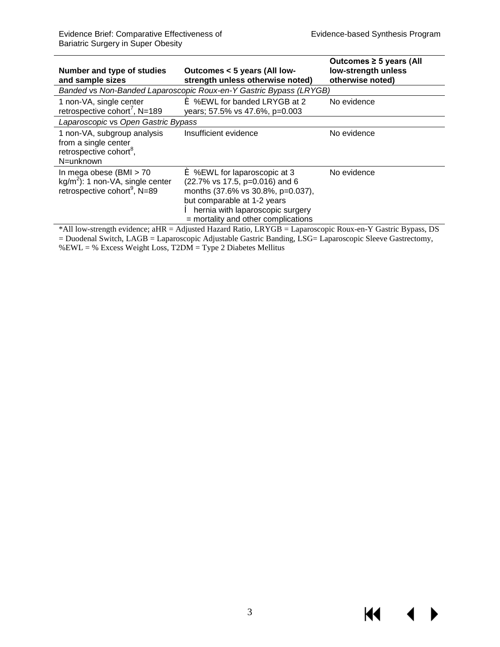$\blacklozenge$ 

 $\blacktriangleright$ 

KI I

| Outcomes < 5 years (All low-<br>strength unless otherwise noted)                                                                                                                                                                                 | Outcomes $\geq$ 5 years (All<br>low-strength unless<br>otherwise noted)                                                                             |
|--------------------------------------------------------------------------------------------------------------------------------------------------------------------------------------------------------------------------------------------------|-----------------------------------------------------------------------------------------------------------------------------------------------------|
| Banded vs Non-Banded Laparoscopic Roux-en-Y Gastric Bypass (LRYGB)                                                                                                                                                                               |                                                                                                                                                     |
| <b>é</b> %EWL for banded LRYGB at 2<br>years; 57.5% vs 47.6%, p=0.003                                                                                                                                                                            | No evidence                                                                                                                                         |
|                                                                                                                                                                                                                                                  |                                                                                                                                                     |
| Insufficient evidence                                                                                                                                                                                                                            | No evidence                                                                                                                                         |
| <b>é</b> %EWL for laparoscopic at 3<br>(22.7% vs 17.5, p=0.016) and 6<br>months (37.6% vs 30.8%, p=0.037),<br>but comparable at 1-2 years<br><b><math>\hat{e}</math></b> hernia with laparoscopic surgery<br>= mortality and other complications | No evidence                                                                                                                                         |
|                                                                                                                                                                                                                                                  | Laparoscopic vs Open Gastric Bypass<br>$*$ All law strength avidence eUD – Adjusted Herend Detic I DVCD – Lengueseenic Deux en V Cestric Dynass, DC |

\*All low-strength evidence; aHR = Adjusted Hazard Ratio, LRYGB = Laparoscopic Roux-en-Y Gastric Bypass, DS = Duodenal Switch, LAGB = Laparoscopic Adjustable Gastric Banding, LSG= Laparoscopic Sleeve Gastrectomy, %EWL = % Excess Weight Loss, T2DM = Type 2 Diabetes Mellitus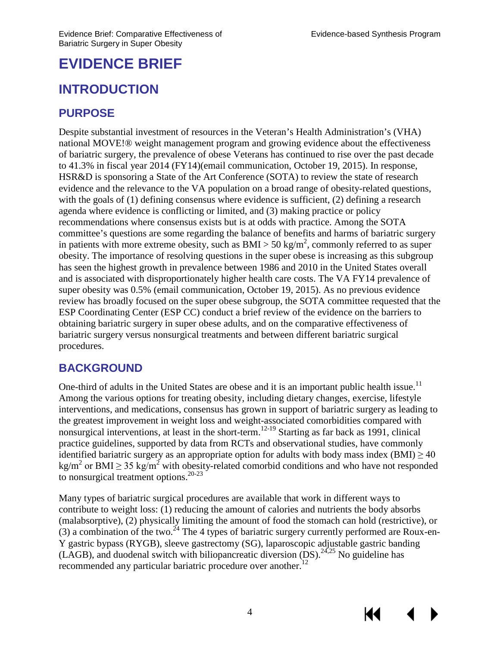## <span id="page-6-0"></span>**EVIDENCE BRIEF**

## <span id="page-6-1"></span>**INTRODUCTION**

## **PURPOSE**

Despite substantial investment of resources in the Veteran's Health Administration's (VHA) national MOVE!® weight management program and growing evidence about the effectiveness of bariatric surgery, the prevalence of obese Veterans has continued to rise over the past decade to 41.3% in fiscal year 2014 (FY14)(email communication, October 19, 2015). In response, HSR&D is sponsoring a State of the Art Conference (SOTA) to review the state of research evidence and the relevance to the VA population on a broad range of obesity-related questions, with the goals of (1) defining consensus where evidence is sufficient, (2) defining a research agenda where evidence is conflicting or limited, and (3) making practice or policy recommendations where consensus exists but is at odds with practice. Among the SOTA committee's questions are some regarding the balance of benefits and harms of bariatric surgery in patients with more extreme obesity, such as  $BMI > 50 \text{ kg/m}^2$ , commonly referred to as super obesity. The importance of resolving questions in the super obese is increasing as this subgroup has seen the highest growth in prevalence between 1986 and 2010 in the United States overall and is associated with disproportionately higher health care costs. The VA FY14 prevalence of super obesity was 0.5% (email communication, October 19, 2015). As no previous evidence review has broadly focused on the super obese subgroup, the SOTA committee requested that the ESP Coordinating Center (ESP CC) conduct a brief review of the evidence on the barriers to obtaining bariatric surgery in super obese adults, and on the comparative effectiveness of bariatric surgery versus nonsurgical treatments and between different bariatric surgical procedures.

## **BACKGROUND**

One-third of adults in the United States are obese and it is an important public health issue.<sup>11</sup> Among the various options for treating obesity, including dietary changes, exercise, lifestyle interventions, and medications, consensus has grown in support of bariatric surgery as leading to the greatest improvement in weight loss and weight-associated comorbidities compared with nonsurgical interventions, at least in the short-term.<sup>12-19</sup> Starting as far back as 1991, clinical practice guidelines, supported by data from RCTs and observational studies, have commonly identified bariatric surgery as an appropriate option for adults with body mass index (BMI)  $\geq$  40 kg/m<sup>2</sup> or BMI  $\geq$  35 kg/m<sup>2</sup> with obesity-related comorbid conditions and who have not responded to nonsurgical treatment options.<sup>[20-23](#page-28-0)</sup>

Many types of bariatric surgical procedures are available that work in different ways to contribute to weight loss: (1) reducing the amount of calories and nutrients the body absorbs (malabsorptive), (2) physically limiting the amount of food the stomach can hold (restrictive), or (3) a combination of the two.<sup>24</sup> The 4 types of bariatric surgery currently performed are Roux-en-Y gastric bypass (RYGB), sleeve gastrectomy (SG), laparoscopic adjustable gastric banding (LAGB), and duodenal switch with biliopancreatic diversion  $(DS)$ .<sup>[24](#page-28-1)[,25](#page-28-2)</sup> No guideline has recommended any particular bariatric procedure over another.<sup>12</sup>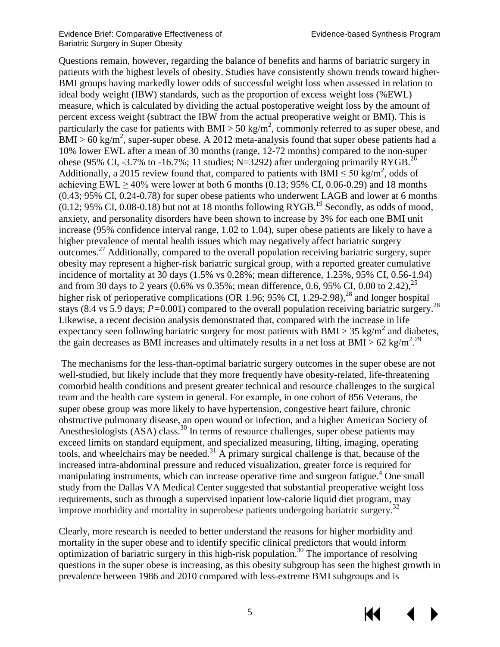KK

Questions remain, however, regarding the balance of benefits and harms of bariatric surgery in patients with the highest levels of obesity. Studies have consistently shown trends toward higher-BMI groups having markedly lower odds of successful weight loss when assessed in relation to ideal body weight (IBW) standards, such as the proportion of excess weight loss (%EWL) measure, which is calculated by dividing the actual postoperative weight loss by the amount of percent excess weight (subtract the IBW from the actual preoperative weight or BMI). This is particularly the case for patients with BMI  $>$  50 kg/m<sup>2</sup>, commonly referred to as super obese, and  $BMI > 60 \text{ kg/m}^2$ , super-super obese. A 2012 meta-analysis found that super obese patients had a 10% lower EWL after a mean of 30 months (range, 12-72 months) compared to the non-super obese (95% CI, -3.7% to -16.7%; 11 studies; N=3292) after undergoing primarily RYGB.<sup>26</sup> Additionally, a 2015 review found that, compared to patients with BMI  $\leq$  50 kg/m<sup>2</sup>, odds of achieving EWL  $> 40\%$  were lower at both 6 months (0.13; 95% CI, 0.06-0.29) and 18 months (0.43; 95% CI, 0.24-0.78) for super obese patients who underwent LAGB and lower at 6 months  $(0.12; 95\% \text{ CI}, 0.08-0.18)$  but not at 18 months following RYGB.<sup>19</sup> Secondly, as odds of mood, anxiety, and personality disorders have been shown to increase by 3% for each one BMI unit increase (95% confidence interval range, 1.02 to 1.04), super obese patients are likely to have a higher prevalence of mental health issues which may negatively affect bariatric surgery outcomes[.27](#page-28-5) Additionally, compared to the overall population receiving bariatric surgery, super obesity may represent a higher-risk bariatric surgical group, with a reported greater cumulative incidence of mortality at 30 days (1.5% vs 0.28%; mean difference, 1.25%, 95% CI, 0.56-1.94) and from 30 days to 2 years (0.6% vs 0.35%; mean difference, 0.6, 95% CI, 0.00 to 2.42),  $^{25}$ higher risk of perioperative complications (OR 1.96; 95% CI, 1.29-2.98),<sup>28</sup> and longer hospital stays (8.4 vs 5.9 days; *P=*0.001) compared to the overall population receiving bariatric surgery[.28](#page-28-6) Likewise, a recent decision analysis demonstrated that, compared with the increase in life expectancy seen following bariatric surgery for most patients with BMI > 35 kg/m<sup>2</sup> and diabetes, the gain decreases as BMI increases and ultimately results in a net loss at BMI > 62 kg/m<sup>2</sup>.<sup>29</sup>

The mechanisms for the less-than-optimal bariatric surgery outcomes in the super obese are not well-studied, but likely include that they more frequently have obesity-related, life-threatening comorbid health conditions and present greater technical and resource challenges to the surgical team and the health care system in general. For example, in one cohort of 856 Veterans, the super obese group was more likely to have hypertension, congestive heart failure, chronic obstructive pulmonary disease, an open wound or infection, and a higher American Society of Anesthesiologists (ASA) class.<sup>[30](#page-29-1)</sup> In terms of resource challenges, super obese patients may exceed limits on standard equipment, and specialized measuring, lifting, imaging, operating tools, and wheelchairs may be needed.<sup>[31](#page-29-2)</sup> A primary surgical challenge is that, because of the increased intra-abdominal pressure and reduced visualization, greater force is required for manipulating instruments, which can increase operative time and surgeon fatigue.<sup>4</sup> One small study from the Dallas VA Medical Center suggested that substantial preoperative weight loss requirements, such as through a supervised inpatient low-calorie liquid diet program, may improve morbidity and mortality in superobese patients undergoing bariatric surgery.<sup>32</sup>

Clearly, more research is needed to better understand the reasons for higher morbidity and mortality in the super obese and to identify specific clinical predictors that would inform optimization of bariatric surgery in this high-risk population.<sup>30</sup> The importance of resolving questions in the super obese is increasing, as this obesity subgroup has seen the highest growth in prevalence between 1986 and 2010 compared with less-extreme BMI subgroups and is

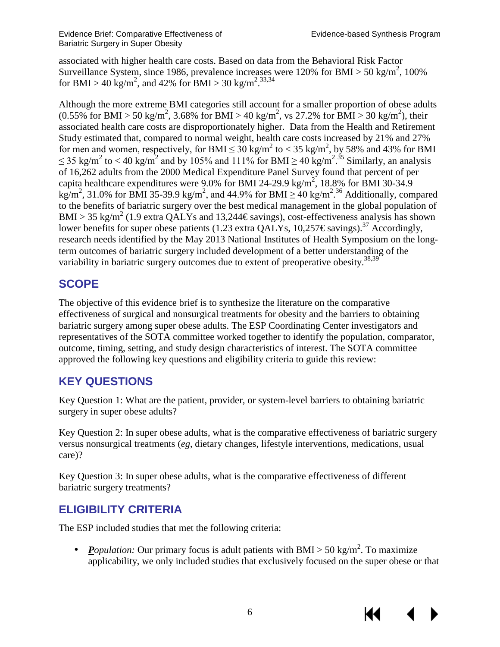associated with higher health care costs. Based on data from the Behavioral Risk Factor Surveillance System, since 1986, prevalence increases were 120% for BMI > 50 kg/m<sup>2</sup>, 100% for BMI > 40 kg/m<sup>2</sup>, and 42% for BMI > 30 kg/m<sup>2</sup>.<sup>[33,](#page-29-4)34</sup>

Although the more extreme BMI categories still account for a smaller proportion of obese adults  $(0.55\%$  for BMI > 50 kg/m<sup>2</sup>, 3.68% for BMI > 40 kg/m<sup>2</sup>, vs 27.2% for BMI > 30 kg/m<sup>2</sup>), their associated health care costs are disproportionately higher. Data from the Health and Retirement Study estimated that, compared to normal weight, health care costs increased by 21% and 27% for men and women, respectively, for BMI  $\leq 30 \text{ kg/m}^2$  to  $< 35 \text{ kg/m}^2$ , by 58% and 43% for BMI  $\leq$  [35](#page-29-6) kg/m<sup>2</sup> to < 40 kg/m<sup>2</sup> and by 105% and 111% for BMI  $\geq$  40 kg/m<sup>2</sup>.<sup>35</sup> Similarly, an analysis of 16,262 adults from the 2000 Medical Expenditure Panel Survey found that percent of per capita healthcare expenditures were 9.0% for BMI 24-29.9 kg/m<sup>2</sup>, 18.8% for BMI 30-34.9 kg/m<sup>2</sup>, 31.0% for BMI 35-39.9 kg/m<sup>2</sup>, and 44.9% for BMI  $\geq$  40 kg/m<sup>2</sup>.<sup>[36](#page-29-7)</sup> Additionally, compared to the benefits of bariatric surgery over the best medical management in the global population of BMI > 35 kg/m<sup>2</sup> (1.9 extra QALYs and 13,244  $\epsilon$ savings), cost-effectiveness analysis has shown lower benefits for super obese patients (1.23 extra QALYs, 10,257  $\epsilon$ savings).<sup>37</sup> Accordingly, research needs identified by the May 2013 National Institutes of Health Symposium on the longterm outcomes of bariatric surgery included development of a better understanding of the variability in bariatric surgery outcomes due to extent of preoperative obesity.<sup>38,39</sup>

## **SCOPE**

The objective of this evidence brief is to synthesize the literature on the comparative effectiveness of surgical and nonsurgical treatments for obesity and the barriers to obtaining bariatric surgery among super obese adults. The ESP Coordinating Center investigators and representatives of the SOTA committee worked together to identify the population, comparator, outcome, timing, setting, and study design characteristics of interest. The SOTA committee approved the following key questions and eligibility criteria to guide this review:

## **KEY QUESTIONS**

Key Question 1: What are the patient, provider, or system-level barriers to obtaining bariatric surgery in super obese adults?

Key Question 2: In super obese adults, what is the comparative effectiveness of bariatric surgery versus nonsurgical treatments (*eg*, dietary changes, lifestyle interventions, medications, usual care)?

Key Question 3: In super obese adults, what is the comparative effectiveness of different bariatric surgery treatments?

## **ELIGIBILITY CRITERIA**

The ESP included studies that met the following criteria:

*Population*: Our primary focus is adult patients with BMI > 50 kg/m<sup>2</sup>. To maximize applicability, we only included studies that exclusively focused on the super obese or that

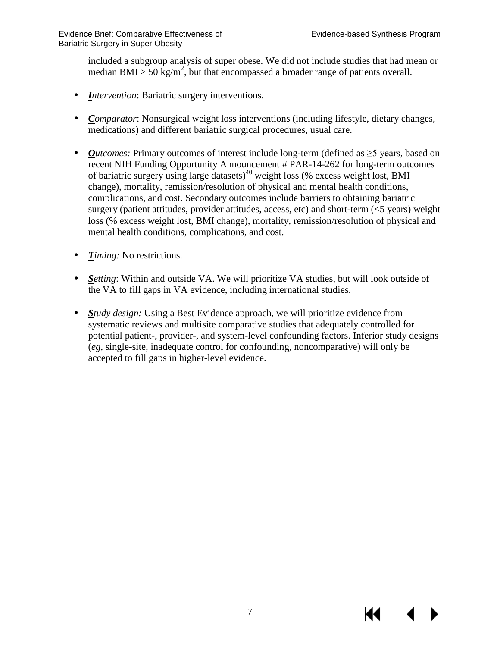included a subgroup analysis of super obese. We did not include studies that had mean or median BMI > 50 kg/m<sup>2</sup>, but that encompassed a broader range of patients overall.

- *Intervention*: Bariatric surgery interventions.
- *Comparator*: Nonsurgical weight loss interventions (including lifestyle, dietary changes,  $\mathbf{r}$ medications) and different bariatric surgical procedures, usual care.
- *Outcomes:* Primary outcomes of interest include long-term (defined as ≥5 years, based on  $\mathcal{L}^{\pm}$ recent NIH Funding Opportunity Announcement # PAR-14-262 for long-term outcomes of bariatric surgery using large datasets) [40](#page-29-11) weight loss (% excess weight lost, BMI change), mortality, remission/resolution of physical and mental health conditions, complications, and cost. Secondary outcomes include barriers to obtaining bariatric surgery (patient attitudes, provider attitudes, access, etc) and short-term (<5 years) weight loss (% excess weight lost, BMI change), mortality, remission/resolution of physical and mental health conditions, complications, and cost.
- ä, *Timing:* No restrictions.
- *Setting*: Within and outside VA. We will prioritize VA studies, but will look outside of the VA to fill gaps in VA evidence, including international studies.
- <span id="page-9-0"></span>*Study design:* Using a Best Evidence approach, we will prioritize evidence from systematic reviews and multisite comparative studies that adequately controlled for potential patient-, provider-, and system-level confounding factors. Inferior study designs (*eg*, single-site, inadequate control for confounding, noncomparative) will only be accepted to fill gaps in higher-level evidence.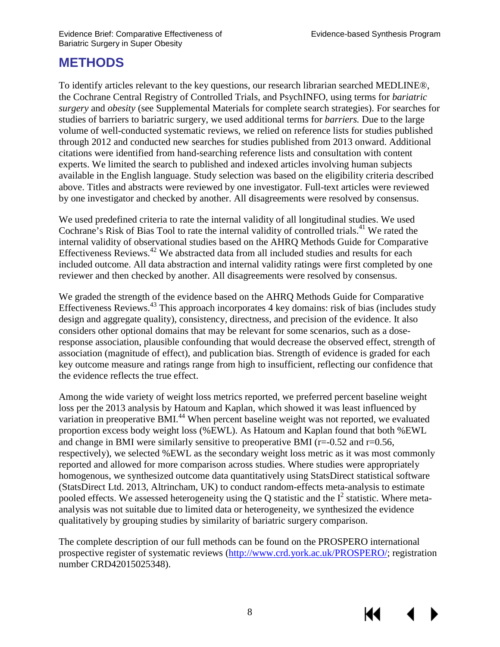## **METHODS**

To identify articles relevant to the key questions, our research librarian searched MEDLINE®, the Cochrane Central Registry of Controlled Trials, and PsychINFO, using terms for *bariatric surgery* and *obesity* (see Supplemental Materials for complete search strategies). For searches for studies of barriers to bariatric surgery, we used additional terms for *barriers.* Due to the large volume of well-conducted systematic reviews, we relied on reference lists for studies published through 2012 and conducted new searches for studies published from 2013 onward. Additional citations were identified from hand-searching reference lists and consultation with content experts. We limited the search to published and indexed articles involving human subjects available in the English language. Study selection was based on the eligibility criteria described above. Titles and abstracts were reviewed by one investigator. Full-text articles were reviewed by one investigator and checked by another. All disagreements were resolved by consensus.

We used predefined criteria to rate the internal validity of all longitudinal studies. We used Cochrane's Risk of Bias Tool to rate the internal validity of controlled trials.<sup>[41](#page-29-12)</sup> We rated the internal validity of observational studies based on the AHRQ Methods Guide for Comparative Effectiveness Reviews.<sup>[42](#page-29-13)</sup> We abstracted data from all included studies and results for each included outcome. All data abstraction and internal validity ratings were first completed by one reviewer and then checked by another. All disagreements were resolved by consensus.

We graded the strength of the evidence based on the AHRQ Methods Guide for Comparative Effectiveness Reviews.<sup>[43](#page-29-14)</sup> This approach incorporates 4 key domains: risk of bias (includes study design and aggregate quality), consistency, directness, and precision of the evidence. It also considers other optional domains that may be relevant for some scenarios, such as a doseresponse association, plausible confounding that would decrease the observed effect, strength of association (magnitude of effect), and publication bias. Strength of evidence is graded for each key outcome measure and ratings range from high to insufficient, reflecting our confidence that the evidence reflects the true effect.

Among the wide variety of weight loss metrics reported, we preferred percent baseline weight loss per the 2013 analysis by Hatoum and Kaplan, which showed it was least influenced by variation in preoperative BMI.<sup>[44](#page-30-2)</sup> When percent baseline weight was not reported, we evaluated proportion excess body weight loss (%EWL). As Hatoum and Kaplan found that both %EWL and change in BMI were similarly sensitive to preoperative BMI ( $r=0.52$  and  $r=0.56$ , respectively), we selected %EWL as the secondary weight loss metric as it was most commonly reported and allowed for more comparison across studies. Where studies were appropriately homogenous, we synthesized outcome data quantitatively using StatsDirect statistical software (StatsDirect Ltd. 2013, Altrincham, UK) to conduct random-effects meta-analysis to estimate pooled effects. We assessed heterogeneity using the Q statistic and the  $I^2$  statistic. Where metaanalysis was not suitable due to limited data or heterogeneity, we synthesized the evidence qualitatively by grouping studies by similarity of bariatric surgery comparison.

The complete description of our full methods can be found on the PROSPERO international prospective register of systematic reviews [\(http://www.crd.york.ac.uk/PROSPERO/;](http://www.crd.york.ac.uk/PROSPERO/) registration number CRD42015025348).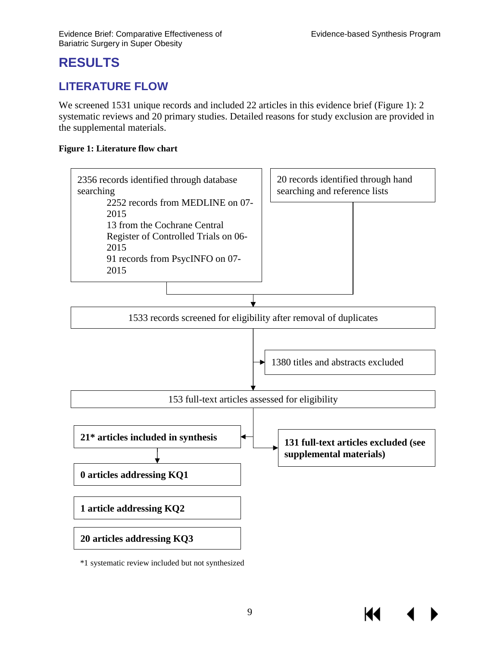Кŧ

## **RESULTS**

## <span id="page-11-0"></span>**LITERATURE FLOW**

We screened 1531 unique records and included 22 articles in this evidence brief (Figure 1): 2 systematic reviews and 20 primary studies. Detailed reasons for study exclusion are provided in the supplemental materials.

#### <span id="page-11-1"></span>**Figure 1: Literature flow chart**



\*1 systematic review included but not synthesized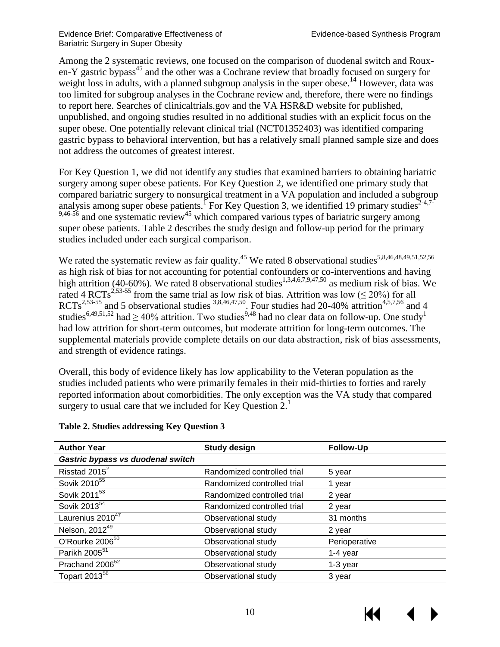Among the 2 systematic reviews, one focused on the comparison of duodenal switch and Rouxen-Y gastric bypass<sup>45</sup> and the other was a Cochrane review that broadly focused on surgery for weight loss in adults, with a planned subgroup analysis in the super obese.<sup>14</sup> However, data was too limited for subgroup analyses in the Cochrane review and, therefore, there were no findings to report here. Searches of clinicaltrials.gov and the VA HSR&D website for published, unpublished, and ongoing studies resulted in no additional studies with an explicit focus on the super obese. One potentially relevant clinical trial (NCT01352403) was identified comparing gastric bypass to behavioral intervention, but has a relatively small planned sample size and does not address the outcomes of greatest interest.

For Key Question 1, we did not identify any studies that examined barriers to obtaining bariatric surgery among super obese patients. For Key Question 2, we identified one primary study that compared bariatric surgery to nonsurgical treatment in a VA population and included a subgroup analysis among super obese patients.<sup>[1](#page-27-0)</sup> For Key Question 3, we identified 19 primary studies<sup>[2-4](#page-27-3)[,7-](#page-27-6)</sup>  $9,46-56$  $9,46-56$  and one systematic review<sup>45</sup> which compared various types of bariatric surgery among super obese patients. Table 2 describes the study design and follow-up period for the primary studies included under each surgical comparison.

We rated the systematic review as fair quality.<sup>45</sup> We rated 8 observational studies<sup>5[,8](#page-27-7)[,46](#page-30-4)[,48](#page-30-5)[,49](#page-30-1)[,51](#page-30-6)[,52](#page-30-7)[,56](#page-30-8)</sup> as high risk of bias for not accounting for potential confounders or co-interventions and having high attrition (40-60%). We rated 8 observational studies<sup>[1](#page-27-0)[,3](#page-27-1)[,4](#page-27-2)[,6](#page-27-5)[,7](#page-27-6)[,9](#page-27-8)[,47,](#page-30-0)50</sup> as medium risk of bias. We rated 4 RCTs<sup>[2](#page-27-3)[,53-55](#page-30-10)</sup> from the same trial as low risk of bias. Attrition was low ( $\leq$  20%) for all RCTs<sup>[2](#page-27-3),53-55</sup> and 5 observational studies  $3,8,46,47,50$  $3,8,46,47,50$  $3,8,46,47,50$  $3,8,46,47,50$  $3,8,46,47,50$ . Four studies had 20-40% attrition<sup>4,[5,](#page-27-4)[7,](#page-27-6)56</sup> and 4 studies<sup>[6,](#page-27-5)[49,](#page-30-1)[51,](#page-30-6)[52](#page-30-7)</sup> had  $\geq$  40% attrition. Two studies<sup>[9,](#page-27-8)48</sup> had no clear data on follow-up. One study<sup>1</sup> had low attrition for short-term outcomes, but moderate attrition for long-term outcomes. The supplemental materials provide complete details on our data abstraction, risk of bias assessments, and strength of evidence ratings.

Overall, this body of evidence likely has low applicability to the Veteran population as the studies included patients who were primarily females in their mid-thirties to forties and rarely reported information about comorbidities. The only exception was the VA study that compared surgery to usual care that we included for Key Question  $2<sup>1</sup>$  $2<sup>1</sup>$  $2<sup>1</sup>$ .

| <b>Author Year</b>                | <b>Study design</b>         | <b>Follow-Up</b> |
|-----------------------------------|-----------------------------|------------------|
| Gastric bypass vs duodenal switch |                             |                  |
| Risstad 2015 <sup>2</sup>         | Randomized controlled trial | 5 year           |
| Sovik 2010 <sup>55</sup>          | Randomized controlled trial | 1 year           |
| Sovik 2011 <sup>53</sup>          | Randomized controlled trial | 2 year           |
| Sovik 2013 <sup>54</sup>          | Randomized controlled trial | 2 year           |
| Laurenius 2010 <sup>47</sup>      | Observational study         | 31 months        |
| Nelson, 2012 <sup>49</sup>        | Observational study         | 2 year           |
| O'Rourke 2006 <sup>50</sup>       | Observational study         | Perioperative    |
| Parikh 2005 <sup>51</sup>         | Observational study         | 1-4 year         |
| Prachand 2006 <sup>52</sup>       | Observational study         | 1-3 year         |
| Topart 2013 <sup>56</sup>         | Observational study         | 3 year           |

#### <span id="page-12-0"></span>**Table 2. Studies addressing Key Question 3**

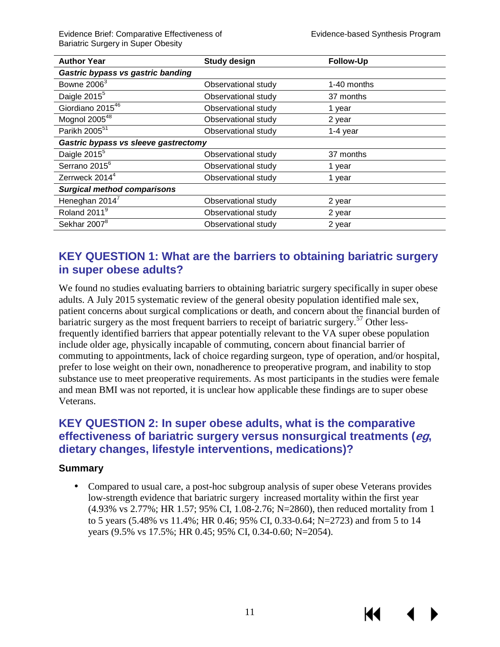К€

Evidence Brief: Comparative Effectiveness of Evidence-based Synthesis Program Bariatric Surgery in Super Obesity

| <b>Author Year</b>                   | <b>Study design</b> | <b>Follow-Up</b> |
|--------------------------------------|---------------------|------------------|
| Gastric bypass vs gastric banding    |                     |                  |
| Bowne 2006 <sup>3</sup>              | Observational study | 1-40 months      |
| Daigle 2015 <sup>5</sup>             | Observational study | 37 months        |
| Giordiano 201546                     | Observational study | 1 year           |
| Mognol 2005 <sup>48</sup>            | Observational study | 2 year           |
| Parikh 2005 <sup>51</sup>            | Observational study | 1-4 year         |
| Gastric bypass vs sleeve gastrectomy |                     |                  |
| Daigle 2015 <sup>5</sup>             | Observational study | 37 months        |
| Serrano 2015 <sup>6</sup>            | Observational study | 1 year           |
| Zerrweck 2014 <sup>4</sup>           | Observational study | 1 year           |
| <b>Surgical method comparisons</b>   |                     |                  |
| Heneghan 2014 <sup>7</sup>           | Observational study | 2 year           |
| Roland 2011 <sup>9</sup>             | Observational study | 2 year           |
| Sekhar 2007 <sup>8</sup>             | Observational study | 2 year           |

### <span id="page-13-0"></span>**KEY QUESTION 1: What are the barriers to obtaining bariatric surgery in super obese adults?**

We found no studies evaluating barriers to obtaining bariatric surgery specifically in super obese adults. A July 2015 systematic review of the general obesity population identified male sex, patient concerns about surgical complications or death, and concern about the financial burden of bariatric surgery as the most frequent barriers to receipt of bariatric surgery.<sup>[57](#page-31-0)</sup> Other lessfrequently identified barriers that appear potentially relevant to the VA super obese population include older age, physically incapable of commuting, concern about financial barrier of commuting to appointments, lack of choice regarding surgeon, type of operation, and/or hospital, prefer to lose weight on their own, nonadherence to preoperative program, and inability to stop substance use to meet preoperative requirements. As most participants in the studies were female and mean BMI was not reported, it is unclear how applicable these findings are to super obese Veterans.

### <span id="page-13-1"></span>**KEY QUESTION 2: In super obese adults, what is the comparative effectiveness of bariatric surgery versus nonsurgical treatments (eg, dietary changes, lifestyle interventions, medications)?**

#### **Summary**

Compared to usual care, a post-hoc subgroup analysis of super obese Veterans provides low-strength evidence that bariatric surgery increased mortality within the first year (4.93% vs 2.77%; HR 1.57; 95% CI, 1.08-2.76; N=2860), then reduced mortality from 1 to 5 years (5.48% vs 11.4%; HR 0.46; 95% CI, 0.33-0.64; N=2723) and from 5 to 14 years (9.5% vs 17.5%; HR 0.45; 95% CI, 0.34-0.60; N=2054).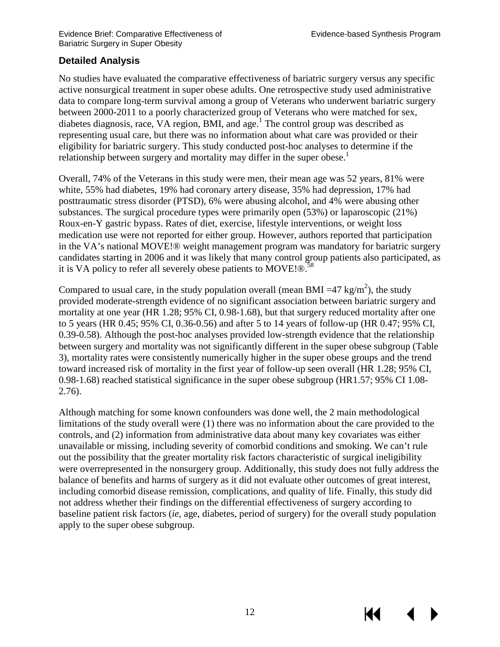#### **Detailed Analysis**

No studies have evaluated the comparative effectiveness of bariatric surgery versus any specific active nonsurgical treatment in super obese adults. One retrospective study used administrative data to compare long-term survival among a group of Veterans who underwent bariatric surgery between 2000-2011 to a poorly characterized group of Veterans who were matched for sex, diabetes diagnosis, race, VA region, BMI, and age. $<sup>1</sup>$  The control group was described as</sup> representing usual care, but there was no information about what care was provided or their eligibility for bariatric surgery. This study conducted post-hoc analyses to determine if the relationship between surgery and mortality may differ in the super obese.<sup>1</sup>

Overall, 74% of the Veterans in this study were men, their mean age was 52 years, 81% were white, 55% had diabetes, 19% had coronary artery disease, 35% had depression, 17% had posttraumatic stress disorder (PTSD), 6% were abusing alcohol, and 4% were abusing other substances. The surgical procedure types were primarily open (53%) or laparoscopic (21%) Roux-en-Y gastric bypass. Rates of diet, exercise, lifestyle interventions, or weight loss medication use were not reported for either group. However, authors reported that participation in the VA's national MOVE!® weight management program was mandatory for bariatric surgery candidates starting in 2006 and it was likely that many control group patients also participated, as it is VA policy to refer all severely obese patients to MOVE! $\mathbb{R}^{\mathbf{58}}$ 

Compared to usual care, in the study population overall (mean BMI = 47 kg/m<sup>2</sup>), the study provided moderate-strength evidence of no significant association between bariatric surgery and mortality at one year (HR 1.28; 95% CI, 0.98-1.68), but that surgery reduced mortality after one to 5 years (HR 0.45; 95% CI, 0.36-0.56) and after 5 to 14 years of follow-up (HR 0.47; 95% CI, 0.39-0.58). Although the post-hoc analyses provided low-strength evidence that the relationship between surgery and mortality was not significantly different in the super obese subgroup (Table 3), mortality rates were consistently numerically higher in the super obese groups and the trend toward increased risk of mortality in the first year of follow-up seen overall (HR 1.28; 95% CI, 0.98-1.68) reached statistical significance in the super obese subgroup (HR1.57; 95% CI 1.08- 2.76).

Although matching for some known confounders was done well, the 2 main methodological limitations of the study overall were (1) there was no information about the care provided to the controls, and (2) information from administrative data about many key covariates was either unavailable or missing, including severity of comorbid conditions and smoking. We can't rule out the possibility that the greater mortality risk factors characteristic of surgical ineligibility were overrepresented in the nonsurgery group. Additionally, this study does not fully address the balance of benefits and harms of surgery as it did not evaluate other outcomes of great interest, including comorbid disease remission, complications, and quality of life. Finally, this study did not address whether their findings on the differential effectiveness of surgery according to baseline patient risk factors (*ie*, age, diabetes, period of surgery) for the overall study population apply to the super obese subgroup.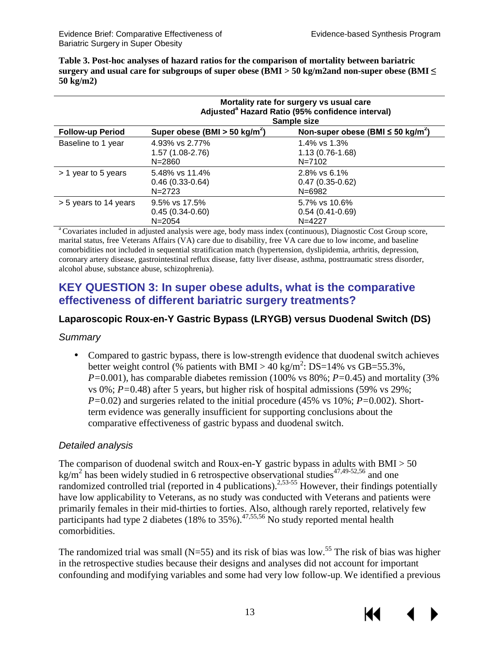КI

<span id="page-15-2"></span>**Table 3. Post-hoc analyses of hazard ratios for the comparison of mortality between bariatric surgery and usual care for subgroups of super obese (BMI > 50 kg/m2and non-super obese (BMI ≤ 50 kg/m2)** 

|                         | Mortality rate for surgery vs usual care<br>Adjusted <sup>a</sup> Hazard Ratio (95% confidence interval)<br>Sample size |                                                  |  |
|-------------------------|-------------------------------------------------------------------------------------------------------------------------|--------------------------------------------------|--|
| <b>Follow-up Period</b> | Super obese (BMI $>$ 50 kg/m <sup>2</sup> )<br>Non-super obese (BMI $\leq$ 50 kg/m <sup>2</sup> )                       |                                                  |  |
| Baseline to 1 year      | 4.93% vs 2.77%<br>$1.57(1.08-2.76)$<br>$N = 2860$                                                                       | 1.4% vs 1.3%<br>$1.13(0.76-1.68)$<br>$N = 7102$  |  |
| > 1 year to 5 years     | 5.48% vs 11.4%<br>$0.46(0.33-0.64)$<br>$N = 2723$                                                                       | 2.8% vs 6.1%<br>$0.47(0.35-0.62)$<br>$N = 6982$  |  |
| > 5 years to 14 years   | 9.5% vs 17.5%<br>$0.45(0.34-0.60)$<br>$N = 2054$                                                                        | 5.7% vs 10.6%<br>$0.54(0.41-0.69)$<br>$N = 4227$ |  |

<sup>a</sup> Covariates included in adjusted analysis were age, body mass index (continuous), Diagnostic Cost Group score, marital status, free Veterans Affairs (VA) care due to disability, free VA care due to low income, and baseline comorbidities not included in sequential stratification match (hypertension, dyslipidemia, arthritis, depression, coronary artery disease, gastrointestinal reflux disease, fatty liver disease, asthma, posttraumatic stress disorder, alcohol abuse, substance abuse, schizophrenia).

#### <span id="page-15-0"></span>**KEY QUESTION 3: In super obese adults, what is the comparative effectiveness of different bariatric surgery treatments?**

#### <span id="page-15-1"></span>**Laparoscopic Roux-en-Y Gastric Bypass (LRYGB) versus Duodenal Switch (DS)**

#### *Summary*

Compared to gastric bypass, there is low-strength evidence that duodenal switch achieves  $\mathbf{r}$ better weight control (% patients with BMI >  $40 \text{ kg/m}^2$ : DS=14% vs GB=55.3%, *P=*0.001), has comparable diabetes remission (100% vs 80%; *P=*0.45) and mortality (3% vs 0%; *P=*0.48) after 5 years, but higher risk of hospital admissions (59% vs 29%; *P=*0.02) and surgeries related to the initial procedure (45% vs 10%; *P=*0.002). Shortterm evidence was generally insufficient for supporting conclusions about the comparative effectiveness of gastric bypass and duodenal switch.

#### *Detailed analysis*

The comparison of duodenal switch and Roux-en-Y gastric bypass in adults with  $BMI > 50$ kg/m<sup>2</sup> has been widely studied in 6 retrospective observational studies<sup>[47](#page-30-0)[,49-52,](#page-30-1)56</sup> and one randomized controlled trial (reported in 4 publications).<sup>2,53-55</sup> However, their findings potentially have low applicability to Veterans, as no study was conducted with Veterans and patients were primarily females in their mid-thirties to forties. Also, although rarely reported, relatively few participants had type 2 diabetes (18% to 35%).<sup>[47,](#page-30-0)[55,](#page-30-11)56</sup> No study reported mental health comorbidities.

The randomized trial was small ( $N=55$ ) and its risk of bias was low.<sup>55</sup> The risk of bias was higher in the retrospective studies because their designs and analyses did not account for important confounding and modifying variables and some had very low follow-up. We identified a previous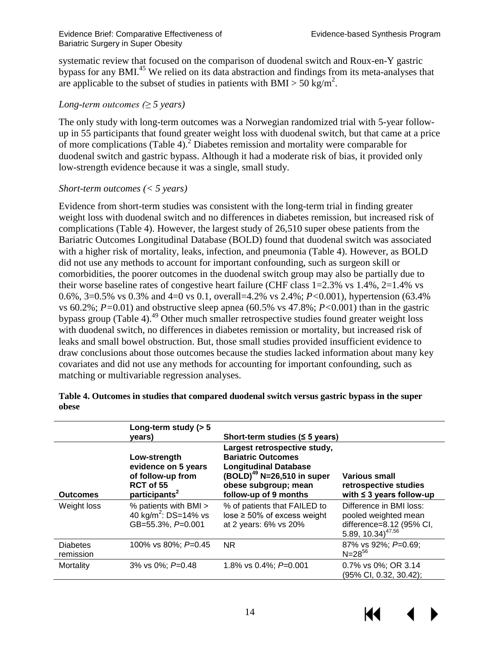systematic review that focused on the comparison of duodenal switch and Roux-en-Y gastric bypass for any BMI.<sup>45</sup> We relied on its data abstraction and findings from its meta-analyses that are applicable to the subset of studies in patients with BMI > 50 kg/m<sup>2</sup>.

#### *Long-term outcomes (≥ 5 years)*

The only study with long-term outcomes was a Norwegian randomized trial with 5-year followup in 55 participants that found greater weight loss with duodenal switch, but that came at a price of more complications (Table 4).[2](#page-27-3) Diabetes remission and mortality were comparable for duodenal switch and gastric bypass. Although it had a moderate risk of bias, it provided only low-strength evidence because it was a single, small study.

#### *Short-term outcomes (< 5 years)*

Evidence from short-term studies was consistent with the long-term trial in finding greater weight loss with duodenal switch and no differences in diabetes remission, but increased risk of complications (Table 4). However, the largest study of 26,510 super obese patients from the Bariatric Outcomes Longitudinal Database (BOLD) found that duodenal switch was associated with a higher risk of mortality, leaks, infection, and pneumonia (Table 4). However, as BOLD did not use any methods to account for important confounding, such as surgeon skill or comorbidities, the poorer outcomes in the duodenal switch group may also be partially due to their worse baseline rates of congestive heart failure (CHF class 1=2.3% vs 1.4%, 2=1.4% vs 0.6%, 3=0.5% vs 0.3% and 4=0 vs 0.1, overall=4.2% vs 2.4%; *P<*0.001), hypertension (63.4% vs 60.2%; *P=*0.01) and obstructive sleep apnea (60.5% vs 47.8%; *P<*0.001) than in the gastric bypass group (Table 4).<sup>49</sup> Other much smaller retrospective studies found greater weight loss with duodenal switch, no differences in diabetes remission or mortality, but increased risk of leaks and small bowel obstruction. But, those small studies provided insufficient evidence to draw conclusions about those outcomes because the studies lacked information about many key covariates and did not use any methods for accounting for important confounding, such as matching or multivariable regression analyses.

|                              | Long-term study ( $> 5$<br>years)                                                                  | Short-term studies ( $\leq$ 5 years)                                                                                                                                                 |                                                                                                              |
|------------------------------|----------------------------------------------------------------------------------------------------|--------------------------------------------------------------------------------------------------------------------------------------------------------------------------------------|--------------------------------------------------------------------------------------------------------------|
| <b>Outcomes</b>              | Low-strength<br>evidence on 5 years<br>of follow-up from<br>RCT of 55<br>participants <sup>2</sup> | Largest retrospective study,<br><b>Bariatric Outcomes</b><br><b>Longitudinal Database</b><br>(BOLD) <sup>49</sup> N=26,510 in super<br>obese subgroup; mean<br>follow-up of 9 months | <b>Various small</b><br>retrospective studies<br>with $\leq$ 3 years follow-up                               |
| Weight loss                  | % patients with BMI ><br>40 kg/m <sup>2</sup> : DS=14% vs<br>GB=55.3%, P=0.001                     | % of patients that FAILED to<br>lose $\geq 50\%$ of excess weight<br>at 2 years: 6% vs 20%                                                                                           | Difference in BMI loss:<br>pooled weighted mean<br>difference=8.12 (95% CI,<br>5.89, 10.34) <sup>47,56</sup> |
| <b>Diabetes</b><br>remission | 100% vs 80%; $P=0.45$                                                                              | NR.                                                                                                                                                                                  | 87% vs 92%; P=0.69;<br>$N = 28^{56}$                                                                         |
| Mortality                    | 3% vs 0%; $P=0.48$                                                                                 | 1.8% vs 0.4%; $P=0.001$                                                                                                                                                              | 0.7% vs 0%; OR 3.14<br>(95% CI, 0.32, 30.42);                                                                |

#### <span id="page-16-0"></span>**Table 4. Outcomes in studies that compared duodenal switch versus gastric bypass in the super obese**

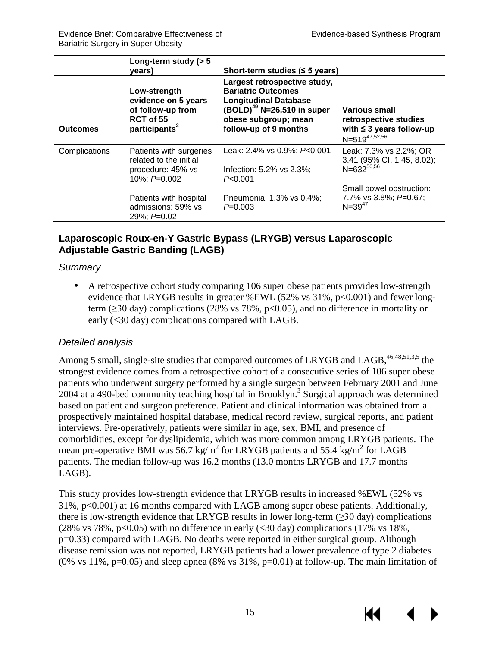КI

|                 | Long-term study ( $> 5$<br>years)                                                                  | Short-term studies $(5$ years)                                                                                                                                                |                                                                                |
|-----------------|----------------------------------------------------------------------------------------------------|-------------------------------------------------------------------------------------------------------------------------------------------------------------------------------|--------------------------------------------------------------------------------|
| <b>Outcomes</b> | Low-strength<br>evidence on 5 years<br>of follow-up from<br>RCT of 55<br>participants <sup>2</sup> | Largest retrospective study,<br><b>Bariatric Outcomes</b><br><b>Longitudinal Database</b><br>$(BOLD)^{49}$ N=26,510 in super<br>obese subgroup; mean<br>follow-up of 9 months | <b>Various small</b><br>retrospective studies<br>with $\leq$ 3 years follow-up |
|                 |                                                                                                    |                                                                                                                                                                               | $N = 519^{47,52,56}$                                                           |
| Complications   | Patients with surgeries<br>related to the initial                                                  | Leak: 2.4% vs 0.9%; P<0.001                                                                                                                                                   | Leak: 7.3% vs 2.2%; OR<br>3.41 (95% CI, 1.45, 8.02);                           |
|                 | procedure: 45% vs<br>10%; $P=0.002$                                                                | Infection: 5.2% vs 2.3%;<br>P< 0.001                                                                                                                                          | $N = 632^{50,56}$                                                              |
|                 |                                                                                                    |                                                                                                                                                                               | Small bowel obstruction:                                                       |
|                 | Patients with hospital<br>admissions: 59% vs<br>$29\%$ : $P=0.02$                                  | Pneumonia: 1.3% vs 0.4%;<br>$P=0.003$                                                                                                                                         | 7.7% vs $3.8\%$ ; $P=0.67$ ;<br>$N = 39^{47}$                                  |

#### <span id="page-17-0"></span>**Laparoscopic Roux-en-Y Gastric Bypass (LRYGB) versus Laparoscopic Adjustable Gastric Banding (LAGB)**

#### *Summary*

A retrospective cohort study comparing 106 super obese patients provides low-strength evidence that LRYGB results in greater %EWL  $(52\% \text{ vs } 31\% , p<0.001)$  and fewer longterm (≥30 day) complications (28% vs 78%, p<0.05), and no difference in mortality or early (<30 day) complications compared with LAGB.

#### *Detailed analysis*

Among [5](#page-27-4) small, single-site studies that compared outcomes of LRYGB and LAGB,  $46,48,51,3,5$  $46,48,51,3,5$  $46,48,51,3,5$  $46,48,51,3,5$  $46,48,51,3,5$  the strongest evidence comes from a retrospective cohort of a consecutive series of 106 super obese patients who underwent surgery performed by a single surgeon between February 2001 and June  $2004$  at a 490-bed community teaching hospital in Brooklyn.<sup>[3](#page-27-1)</sup> Surgical approach was determined based on patient and surgeon preference. Patient and clinical information was obtained from a prospectively maintained hospital database, medical record review, surgical reports, and patient interviews. Pre-operatively, patients were similar in age, sex, BMI, and presence of comorbidities, except for dyslipidemia, which was more common among LRYGB patients. The mean pre-operative BMI was 56.7 kg/m<sup>2</sup> for LRYGB patients and 55.4 kg/m<sup>2</sup> for LAGB patients. The median follow-up was 16.2 months (13.0 months LRYGB and 17.7 months LAGB).

This study provides low-strength evidence that LRYGB results in increased %EWL (52% vs 31%, p<0.001) at 16 months compared with LAGB among super obese patients. Additionally, there is low-strength evidence that LRYGB results in lower long-term  $(\geq 30 \text{ day})$  complications (28% vs 78%,  $p<0.05$ ) with no difference in early (<30 day) complications (17% vs 18%, p=0.33) compared with LAGB. No deaths were reported in either surgical group. Although disease remission was not reported, LRYGB patients had a lower prevalence of type 2 diabetes (0% vs 11%, p=0.05) and sleep apnea (8% vs 31%, p=0.01) at follow-up. The main limitation of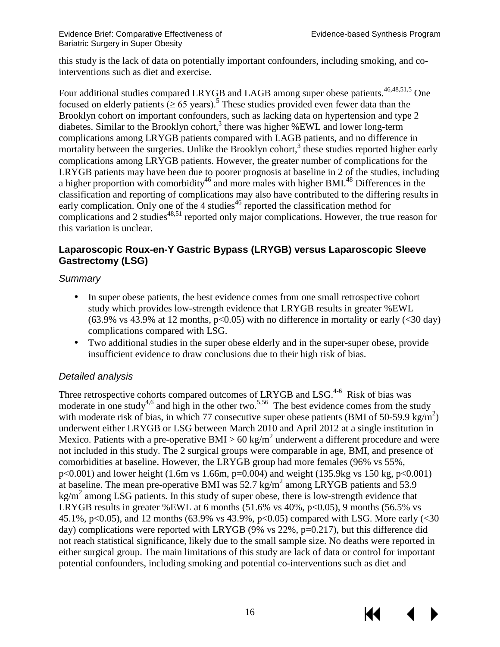KK

this study is the lack of data on potentially important confounders, including smoking, and cointerventions such as diet and exercise.

Four additional studies compared LRYGB and LAGB among super obese patients.<sup>46,[48,](#page-30-5)[51,](#page-30-6)[5](#page-27-4)</sup> One focused on elderly patients ( $\geq 65$  $\geq 65$  years).<sup>5</sup> These studies provided even fewer data than the Brooklyn cohort on important confounders, such as lacking data on hypertension and type 2 diabetes. Similar to the Brooklyn cohort[,](#page-27-1)<sup>3</sup> there was higher %EWL and lower long-term complications among LRYGB patients compared with LAGB patients, and no difference in mortality between the surgeries. Unlike the Brooklyn cohort,<sup>3</sup> these studies reported higher early complications among LRYGB patients. However, the greater number of complications for the LRYGB patients may have been due to poorer prognosis at baseline in 2 of the studies, including a higher proportion with comorbidity<sup>46</sup> and more males with higher BMI.<sup>48</sup> Differences in the classification and reporting of complications may also have contributed to the differing results in early complication. Only one of the 4 studies $46$  reported the classification method for complications and 2 studies<sup>[48](#page-30-5)[,51](#page-30-6)</sup> reported only major complications. However, the true reason for this variation is unclear.

#### <span id="page-18-0"></span>**Laparoscopic Roux-en-Y Gastric Bypass (LRYGB) versus Laparoscopic Sleeve Gastrectomy (LSG)**

#### *Summary*

- In super obese patients, the best evidence comes from one small retrospective cohort study which provides low-strength evidence that LRYGB results in greater %EWL  $(63.9\%$  vs 43.9% at 12 months, p<0.05) with no difference in mortality or early  $( $30 \text{ day}$ )$ complications compared with LSG.
- Two additional studies in the super obese elderly and in the super-super obese, provide ä, insufficient evidence to draw conclusions due to their high risk of bias.

#### *Detailed analysis*

Three retrospective cohorts compared outcomes of LRYGB and LSG.<sup>4-6</sup> Risk of bias was moderate in one study<sup>4,[6](#page-27-5)</sup> and high in the other two.<sup>[5,](#page-27-4)56</sup> The best evidence comes from the study with moderate risk of bias, in which 77 consecutive super obese patients (BMI of 50-59.9 kg/m<sup>2</sup>) underwent either LRYGB or LSG between March 2010 and April 2012 at a single institution in Mexico. Patients with a pre-operative BMI > 60 kg/m<sup>2</sup> underwent a different procedure and were not included in this study. The 2 surgical groups were comparable in age, BMI, and presence of comorbidities at baseline. However, the LRYGB group had more females (96% vs 55%,  $p<0.001$ ) and lower height (1.6m vs 1.66m,  $p=0.004$ ) and weight (135.9kg vs 150 kg,  $p<0.001$ ) at baseline. The mean pre-operative BMI was  $52.7 \text{ kg/m}^2$  among LRYGB patients and  $53.9$ kg/ $m^2$  among LSG patients. In this study of super obese, there is low-strength evidence that LRYGB results in greater %EWL at 6 months  $(51.6\% \text{ vs } 40\%, \text{ p} < 0.05)$ , 9 months  $(56.5\% \text{ vs } 10\%)$ 45.1%, p<0.05), and 12 months (63.9% vs 43.9%, p<0.05) compared with LSG. More early (<30 day) complications were reported with LRYGB (9% vs 22%, p=0.217), but this difference did not reach statistical significance, likely due to the small sample size. No deaths were reported in either surgical group. The main limitations of this study are lack of data or control for important potential confounders, including smoking and potential co-interventions such as diet and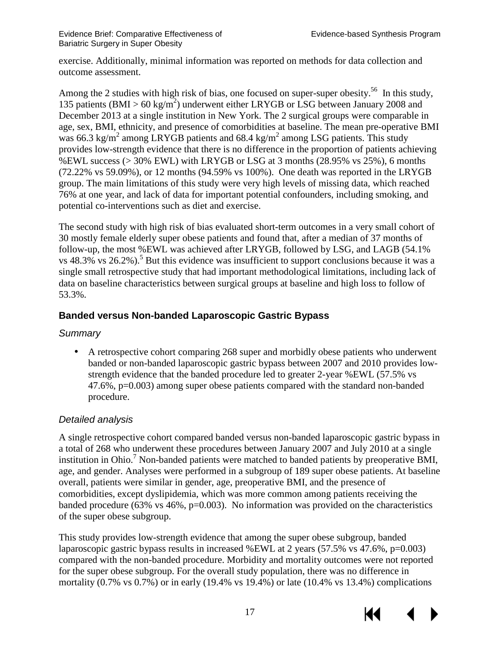exercise. Additionally, minimal information was reported on methods for data collection and outcome assessment.

Among the 2 studies with high risk of bias, one focused on super-super obesity.<sup>56</sup> In this study, 135 patients (BMI >  $60 \text{ kg/m}^2$ ) underwent either LRYGB or LSG between January 2008 and December 2013 at a single institution in New York. The 2 surgical groups were comparable in age, sex, BMI, ethnicity, and presence of comorbidities at baseline. The mean pre-operative BMI was 66.3 kg/m<sup>2</sup> among LRYGB patients and 68.4 kg/m<sup>2</sup> among LSG patients. This study provides low-strength evidence that there is no difference in the proportion of patients achieving %EWL success (> 30% EWL) with LRYGB or LSG at 3 months (28.95% vs 25%), 6 months (72.22% vs 59.09%), or 12 months (94.59% vs 100%). One death was reported in the LRYGB group. The main limitations of this study were very high levels of missing data, which reached 76% at one year, and lack of data for important potential confounders, including smoking, and potential co-interventions such as diet and exercise.

The second study with high risk of bias evaluated short-term outcomes in a very small cohort of 30 mostly female elderly super obese patients and found that, after a median of 37 months of follow-up, the most %EWL was achieved after LRYGB, followed by LSG, and LAGB (54.1% vs  $48.3\%$  vs  $26.2\%$ ).<sup>5</sup> But this evidence was insufficient to support conclusions because it was a single small retrospective study that had important methodological limitations, including lack of data on baseline characteristics between surgical groups at baseline and high loss to follow of 53.3%.

#### <span id="page-19-0"></span>**Banded versus Non-banded Laparoscopic Gastric Bypass**

#### *Summary*

A retrospective cohort comparing 268 super and morbidly obese patients who underwent banded or non-banded laparoscopic gastric bypass between 2007 and 2010 provides lowstrength evidence that the banded procedure led to greater 2-year %EWL (57.5% vs 47.6%, p=0.003) among super obese patients compared with the standard non-banded procedure.

#### *Detailed analysis*

A single retrospective cohort compared banded versus non-banded laparoscopic gastric bypass in a total of 268 who underwent these procedures between January 2007 and July 2010 at a single institution in Ohio.<sup>[7](#page-27-6)</sup> Non-banded patients were matched to banded patients by preoperative BMI, age, and gender. Analyses were performed in a subgroup of 189 super obese patients. At baseline overall, patients were similar in gender, age, preoperative BMI, and the presence of comorbidities, except dyslipidemia, which was more common among patients receiving the banded procedure (63% vs  $46\%$ , p=0.003). No information was provided on the characteristics of the super obese subgroup.

This study provides low-strength evidence that among the super obese subgroup, banded laparoscopic gastric bypass results in increased %EWL at 2 years (57.5% vs 47.6%, p=0.003) compared with the non-banded procedure. Morbidity and mortality outcomes were not reported for the super obese subgroup. For the overall study population, there was no difference in mortality  $(0.7\% \text{ vs } 0.7\%)$  or in early  $(19.4\% \text{ vs } 19.4\%)$  or late  $(10.4\% \text{ vs } 13.4\%)$  complications

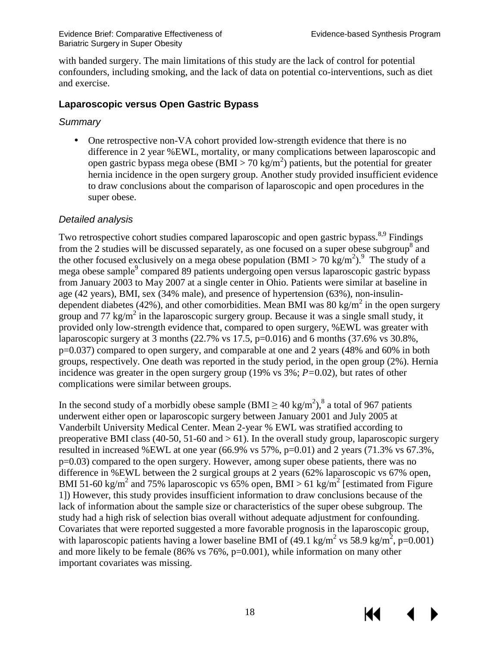with banded surgery. The main limitations of this study are the lack of control for potential confounders, including smoking, and the lack of data on potential co-interventions, such as diet and exercise.

#### <span id="page-20-0"></span>**Laparoscopic versus Open Gastric Bypass**

#### *Summary*

One retrospective non-VA cohort provided low-strength evidence that there is no difference in 2 year %EWL, mortality, or many complications between laparoscopic and open gastric bypass mega obese (BMI > 70 kg/m<sup>2</sup>) patients, but the potential for greater hernia incidence in the open surgery group. Another study provided insufficient evidence to draw conclusions about the comparison of laparoscopic and open procedures in the super obese.

#### *Detailed analysis*

Two retrospective cohort studies compared laparoscopic and open gastric bypass.<sup>[8](#page-27-7)[,9](#page-27-8)</sup> Findings from the 2 studies will be discussed separately, as one focused on a super obese subgroup<sup>[8](#page-27-7)</sup> and the other focused exclusively on a mega obese population (BMI > 70 kg/m<sup>2</sup>).<sup>[9](#page-27-8)</sup> The study of a mega obese sample<sup>9</sup> compared 89 patients undergoing open versus laparoscopic gastric bypass from January 2003 to May 2007 at a single center in Ohio. Patients were similar at baseline in age (42 years), BMI, sex (34% male), and presence of hypertension (63%), non-insulindependent diabetes (42%), and other comorbidities. Mean BMI was 80 kg/m<sup>2</sup> in the open surgery group and 77 kg/m<sup>2</sup> in the laparoscopic surgery group. Because it was a single small study, it provided only low-strength evidence that, compared to open surgery, %EWL was greater with laparoscopic surgery at 3 months  $(22.7\% \text{ vs } 17.5, \text{p}=0.016)$  and 6 months  $(37.6\% \text{ vs } 30.8\%$ , p=0.037) compared to open surgery, and comparable at one and 2 years (48% and 60% in both groups, respectively. One death was reported in the study period, in the open group (2%). Hernia incidence was greater in the open surgery group (19% vs 3%; *P=*0.02), but rates of other complications were similar between groups.

In the second study of a morbidly obese sample  $(BMI \ge 40 \text{ kg/m}^2)$ ,<sup>8</sup> a total of 967 patients underwent either open or laparoscopic surgery between January 2001 and July 2005 at Vanderbilt University Medical Center. Mean 2-year % EWL was stratified according to preoperative BMI class (40-50, 51-60 and  $> 61$ ). In the overall study group, laparoscopic surgery resulted in increased %EWL at one year (66.9% vs 57%, p=0.01) and 2 years (71.3% vs 67.3%, p=0.03) compared to the open surgery. However, among super obese patients, there was no difference in %EWL between the 2 surgical groups at 2 years (62% laparoscopic vs 67% open, BMI 51-60 kg/m<sup>2</sup> and 75% laparoscopic vs 65% open, BMI > 61 kg/m<sup>2</sup> [estimated from Figure 1]) However, this study provides insufficient information to draw conclusions because of the lack of information about the sample size or characteristics of the super obese subgroup. The study had a high risk of selection bias overall without adequate adjustment for confounding. Covariates that were reported suggested a more favorable prognosis in the laparoscopic group, with laparoscopic patients having a lower baseline BMI of  $(49.1 \text{ kg/m}^2 \text{ vs } 58.9 \text{ kg/m}^2, \text{p=0.001})$ and more likely to be female (86% vs 76%, p=0.001), while information on many other important covariates was missing.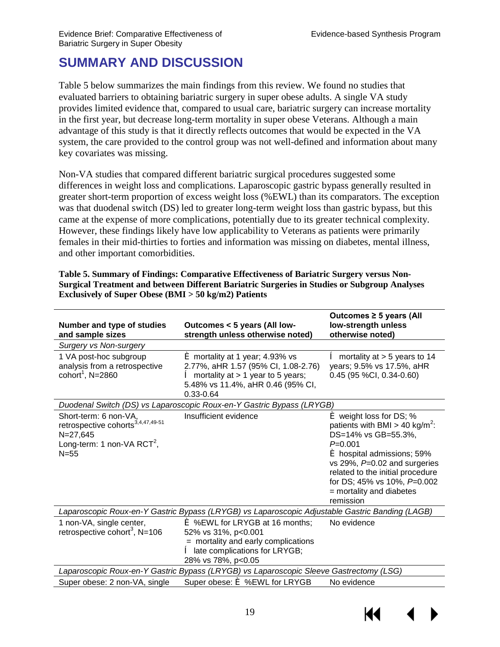## <span id="page-21-0"></span>**SUMMARY AND DISCUSSION**

Table 5 below summarizes the main findings from this review. We found no studies that evaluated barriers to obtaining bariatric surgery in super obese adults. A single VA study provides limited evidence that, compared to usual care, bariatric surgery can increase mortality in the first year, but decrease long-term mortality in super obese Veterans. Although a main advantage of this study is that it directly reflects outcomes that would be expected in the VA system, the care provided to the control group was not well-defined and information about many key covariates was missing.

Non-VA studies that compared different bariatric surgical procedures suggested some differences in weight loss and complications. Laparoscopic gastric bypass generally resulted in greater short-term proportion of excess weight loss (%EWL) than its comparators. The exception was that duodenal switch (DS) led to greater long-term weight loss than gastric bypass, but this came at the expense of more complications, potentially due to its greater technical complexity. However, these findings likely have low applicability to Veterans as patients were primarily females in their mid-thirties to forties and information was missing on diabetes, mental illness, and other important comorbidities.

<span id="page-21-1"></span>**Table 5. Summary of Findings: Comparative Effectiveness of Bariatric Surgery versus Non-Surgical Treatment and between Different Bariatric Surgeries in Studies or Subgroup Analyses Exclusively of Super Obese (BMI > 50 kg/m2) Patients**

| Number and type of studies<br>and sample sizes                                                                                      | Outcomes < 5 years (All low-<br>strength unless otherwise noted)                                                                                                                           | Outcomes $\geq$ 5 years (All<br>low-strength unless<br>otherwise noted)                                                                                                                                                                                                                           |
|-------------------------------------------------------------------------------------------------------------------------------------|--------------------------------------------------------------------------------------------------------------------------------------------------------------------------------------------|---------------------------------------------------------------------------------------------------------------------------------------------------------------------------------------------------------------------------------------------------------------------------------------------------|
| <b>Surgery vs Non-surgery</b>                                                                                                       |                                                                                                                                                                                            |                                                                                                                                                                                                                                                                                                   |
| 1 VA post-hoc subgroup<br>analysis from a retrospective<br>cohort <sup>1</sup> , N=2860                                             | $\acute{\mathbf{e}}$ mortality at 1 year; 4.93% vs<br>2.77%, aHR 1.57 (95% CI, 1.08-2.76)<br>$\hat{e}$ mortality at > 1 year to 5 years;<br>5.48% vs 11.4%, aHR 0.46 (95% CI,<br>0.33-0.64 | $\hat{e}$ mortality at > 5 years to 14<br>years; 9.5% vs 17.5%, aHR<br>$0.45$ (95 %CI, 0.34-0.60)                                                                                                                                                                                                 |
|                                                                                                                                     | Duodenal Switch (DS) vs Laparoscopic Roux-en-Y Gastric Bypass (LRYGB)                                                                                                                      |                                                                                                                                                                                                                                                                                                   |
| Short-term: 6 non-VA,<br>retrospective cohorts $3,4,47,49-51$<br>$N = 27,645$<br>Long-term: 1 non-VA RCT <sup>2</sup> ,<br>$N = 55$ | Insufficient evidence                                                                                                                                                                      | $\leq$ weight loss for DS; %<br>patients with BMI > 40 kg/m <sup>2</sup> :<br>DS=14% vs GB=55.3%,<br>$P=0.001$<br><b>é</b> hospital admissions; 59%<br>vs 29%, $P=0.02$ and surgeries<br>related to the initial procedure<br>for DS; 45% vs 10%, P=0.002<br>= mortality and diabetes<br>remission |
|                                                                                                                                     | Laparoscopic Roux-en-Y Gastric Bypass (LRYGB) vs Laparoscopic Adjustable Gastric Banding (LAGB)                                                                                            |                                                                                                                                                                                                                                                                                                   |
| 1 non-VA, single center,<br>retrospective cohort <sup>3</sup> , N=106                                                               | $\leq$ %EWL for LRYGB at 16 months;<br>52% vs 31%, p<0.001<br>= mortality and early complications<br>late complications for LRYGB;<br>28% vs 78%, p<0.05                                   | No evidence                                                                                                                                                                                                                                                                                       |
|                                                                                                                                     | Laparoscopic Roux-en-Y Gastric Bypass (LRYGB) vs Laparoscopic Sleeve Gastrectomy (LSG)                                                                                                     |                                                                                                                                                                                                                                                                                                   |
| Super obese: 2 non-VA, single                                                                                                       | Super obese: $\acute{\mathbf{e}}$ %EWL for LRYGB                                                                                                                                           | No evidence                                                                                                                                                                                                                                                                                       |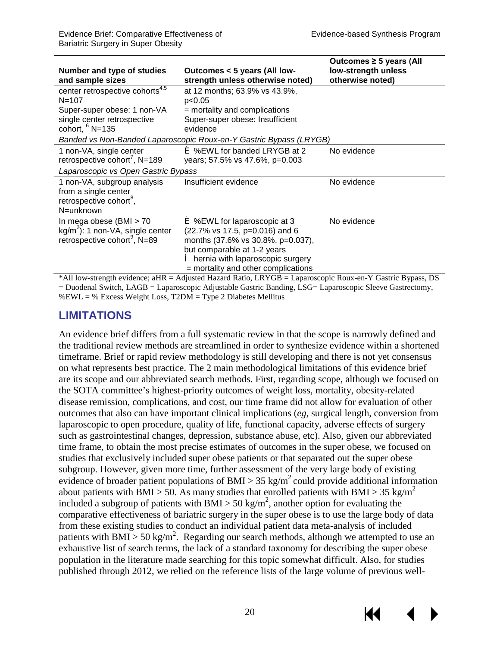| Number and type of studies<br>and sample sizes                                                                                              | Outcomes < 5 years (All low-<br>strength unless otherwise noted)                                                                                                                                                            | Outcomes $\geq$ 5 years (All<br>low-strength unless<br>otherwise noted) |
|---------------------------------------------------------------------------------------------------------------------------------------------|-----------------------------------------------------------------------------------------------------------------------------------------------------------------------------------------------------------------------------|-------------------------------------------------------------------------|
| center retrospective cohorts <sup>4,5</sup><br>$N = 107$<br>Super-super obese: 1 non-VA<br>single center retrospective<br>cohort, $6$ N=135 | at 12 months; 63.9% vs 43.9%,<br>p<0.05<br>= mortality and complications<br>Super-super obese: Insufficient<br>evidence                                                                                                     |                                                                         |
|                                                                                                                                             | Banded vs Non-Banded Laparoscopic Roux-en-Y Gastric Bypass (LRYGB)                                                                                                                                                          |                                                                         |
| 1 non-VA, single center<br>retrospective cohort <sup>7</sup> , N=189                                                                        | <b>€</b> %EWL for banded LRYGB at 2<br>years; 57.5% vs 47.6%, p=0.003                                                                                                                                                       | No evidence                                                             |
| Laparoscopic vs Open Gastric Bypass                                                                                                         |                                                                                                                                                                                                                             |                                                                         |
| 1 non-VA, subgroup analysis<br>from a single center<br>retrospective cohort <sup>8</sup> ,<br>N=unknown                                     | Insufficient evidence                                                                                                                                                                                                       | No evidence                                                             |
| In mega obese $(BMI > 70$<br>$kg/m2$ : 1 non-VA, single center<br>retrospective cohort <sup>9</sup> , N=89                                  | $\leq$ %EWL for laparoscopic at 3<br>(22.7% vs 17.5, p=0.016) and 6<br>months (37.6% vs 30.8%, p=0.037),<br>but comparable at 1-2 years<br><b>e</b> hernia with laparoscopic surgery<br>= mortality and other complications | No evidence                                                             |
| $*$ All low-strength evidence: $aHR - A$ diusted Hazard Ratio I RVGR - I aparoscopic Roux-en-V Gastric Rypass DS                            |                                                                                                                                                                                                                             |                                                                         |

\*All low-strength evidence; aHR = Adjusted Hazard Ratio, LRYGB = Laparoscopic Roux-en-Y Gastric Bypass, DS = Duodenal Switch, LAGB = Laparoscopic Adjustable Gastric Banding, LSG= Laparoscopic Sleeve Gastrectomy, %EWL = % Excess Weight Loss, T2DM = Type 2 Diabetes Mellitus

#### <span id="page-22-0"></span>**LIMITATIONS**

An evidence brief differs from a full systematic review in that the scope is narrowly defined and the traditional review methods are streamlined in order to synthesize evidence within a shortened timeframe. Brief or rapid review methodology is still developing and there is not yet consensus on what represents best practice. The 2 main methodological limitations of this evidence brief are its scope and our abbreviated search methods. First, regarding scope, although we focused on the SOTA committee's highest-priority outcomes of weight loss, mortality, obesity-related disease remission, complications, and cost, our time frame did not allow for evaluation of other outcomes that also can have important clinical implications (*eg*, surgical length, conversion from laparoscopic to open procedure, quality of life, functional capacity, adverse effects of surgery such as gastrointestinal changes, depression, substance abuse, etc). Also, given our abbreviated time frame, to obtain the most precise estimates of outcomes in the super obese, we focused on studies that exclusively included super obese patients or that separated out the super obese subgroup. However, given more time, further assessment of the very large body of existing evidence of broader patient populations of BMI > 35 kg/m<sup>2</sup> could provide additional information about patients with BMI > 50. As many studies that enrolled patients with BMI > 35 kg/m<sup>2</sup> included a subgroup of patients with  $\text{BMI} > 50 \text{ kg/m}^2$ , another option for evaluating the comparative effectiveness of bariatric surgery in the super obese is to use the large body of data from these existing studies to conduct an individual patient data meta-analysis of included patients with BMI > 50 kg/m<sup>2</sup>. Regarding our search methods, although we attempted to use an exhaustive list of search terms, the lack of a standard taxonomy for describing the super obese population in the literature made searching for this topic somewhat difficult. Also, for studies published through 2012, we relied on the reference lists of the large volume of previous well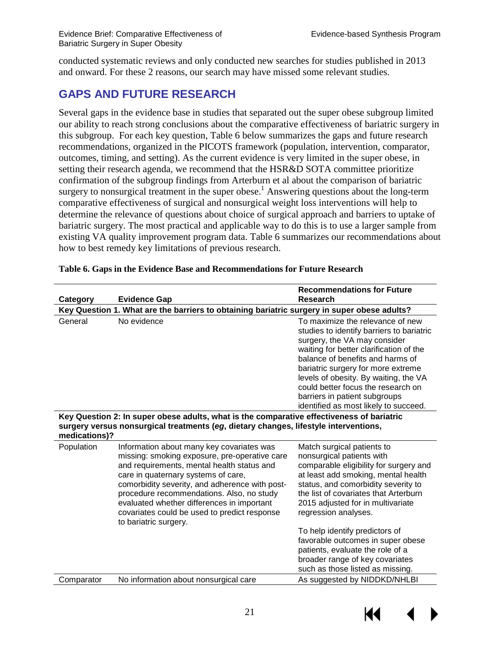conducted systematic reviews and only conducted new searches for studies published in 2013 and onward. For these 2 reasons, our search may have missed some relevant studies.

## <span id="page-23-0"></span>**GAPS AND FUTURE RESEARCH**

Several gaps in the evidence base in studies that separated out the super obese subgroup limited our ability to reach strong conclusions about the comparative effectiveness of bariatric surgery in this subgroup. For each key question, Table 6 below summarizes the gaps and future research recommendations, organized in the PICOTS framework (population, intervention, comparator, outcomes, timing, and setting). As the current evidence is very limited in the super obese, in setting their research agenda, we recommend that the HSR&D SOTA committee prioritize confirmation of the subgroup findings from Arterburn et al about the comparison of bariatric surgery to nonsurgical treatment in the super obese.<sup>1</sup> Answering questions about the long-term comparative effectiveness of surgical and nonsurgical weight loss interventions will help to determine the relevance of questions about choice of surgical approach and barriers to uptake of bariatric surgery. The most practical and applicable way to do this is to use a larger sample from existing VA quality improvement program data. Table 6 summarizes our recommendations about how to best remedy key limitations of previous research.

| <b>Evidence Gap</b><br><b>Research</b><br>Category<br>Key Question 1. What are the barriers to obtaining bariatric surgery in super obese adults?<br>To maximize the relevance of new<br>General<br>No evidence<br>studies to identify barriers to bariatric<br>surgery, the VA may consider<br>waiting for better clarification of the<br>balance of benefits and harms of<br>bariatric surgery for more extreme<br>levels of obesity. By waiting, the VA<br>could better focus the research on<br>barriers in patient subgroups<br>identified as most likely to succeed.<br>Key Question 2: In super obese adults, what is the comparative effectiveness of bariatric<br>surgery versus nonsurgical treatments (eg, dietary changes, lifestyle interventions,<br>medications)?<br>Population<br>Information about many key covariates was<br>Match surgical patients to<br>nonsurgical patients with<br>missing: smoking exposure, pre-operative care<br>and requirements, mental health status and<br>comparable eligibility for surgery and<br>at least add smoking, mental health<br>care in quaternary systems of care,<br>comorbidity severity, and adherence with post-<br>status, and comorbidity severity to<br>procedure recommendations. Also, no study<br>the list of covariates that Arterburn<br>evaluated whether differences in important<br>2015 adjusted for in multivariate<br>covariates could be used to predict response<br>regression analyses.<br>to bariatric surgery.<br>To help identify predictors of<br>favorable outcomes in super obese<br>patients, evaluate the role of a<br>broader range of key covariates<br>such as those listed as missing.<br>As suggested by NIDDKD/NHLBI<br>No information about nonsurgical care<br>Comparator |  |  | <b>Recommendations for Future</b> |  |
|---------------------------------------------------------------------------------------------------------------------------------------------------------------------------------------------------------------------------------------------------------------------------------------------------------------------------------------------------------------------------------------------------------------------------------------------------------------------------------------------------------------------------------------------------------------------------------------------------------------------------------------------------------------------------------------------------------------------------------------------------------------------------------------------------------------------------------------------------------------------------------------------------------------------------------------------------------------------------------------------------------------------------------------------------------------------------------------------------------------------------------------------------------------------------------------------------------------------------------------------------------------------------------------------------------------------------------------------------------------------------------------------------------------------------------------------------------------------------------------------------------------------------------------------------------------------------------------------------------------------------------------------------------------------------------------------------------------------------------------------------------------------------|--|--|-----------------------------------|--|
|                                                                                                                                                                                                                                                                                                                                                                                                                                                                                                                                                                                                                                                                                                                                                                                                                                                                                                                                                                                                                                                                                                                                                                                                                                                                                                                                                                                                                                                                                                                                                                                                                                                                                                                                                                           |  |  |                                   |  |
|                                                                                                                                                                                                                                                                                                                                                                                                                                                                                                                                                                                                                                                                                                                                                                                                                                                                                                                                                                                                                                                                                                                                                                                                                                                                                                                                                                                                                                                                                                                                                                                                                                                                                                                                                                           |  |  |                                   |  |
|                                                                                                                                                                                                                                                                                                                                                                                                                                                                                                                                                                                                                                                                                                                                                                                                                                                                                                                                                                                                                                                                                                                                                                                                                                                                                                                                                                                                                                                                                                                                                                                                                                                                                                                                                                           |  |  |                                   |  |
|                                                                                                                                                                                                                                                                                                                                                                                                                                                                                                                                                                                                                                                                                                                                                                                                                                                                                                                                                                                                                                                                                                                                                                                                                                                                                                                                                                                                                                                                                                                                                                                                                                                                                                                                                                           |  |  |                                   |  |
|                                                                                                                                                                                                                                                                                                                                                                                                                                                                                                                                                                                                                                                                                                                                                                                                                                                                                                                                                                                                                                                                                                                                                                                                                                                                                                                                                                                                                                                                                                                                                                                                                                                                                                                                                                           |  |  |                                   |  |
|                                                                                                                                                                                                                                                                                                                                                                                                                                                                                                                                                                                                                                                                                                                                                                                                                                                                                                                                                                                                                                                                                                                                                                                                                                                                                                                                                                                                                                                                                                                                                                                                                                                                                                                                                                           |  |  |                                   |  |

#### <span id="page-23-1"></span>**Table 6. Gaps in the Evidence Base and Recommendations for Future Research**

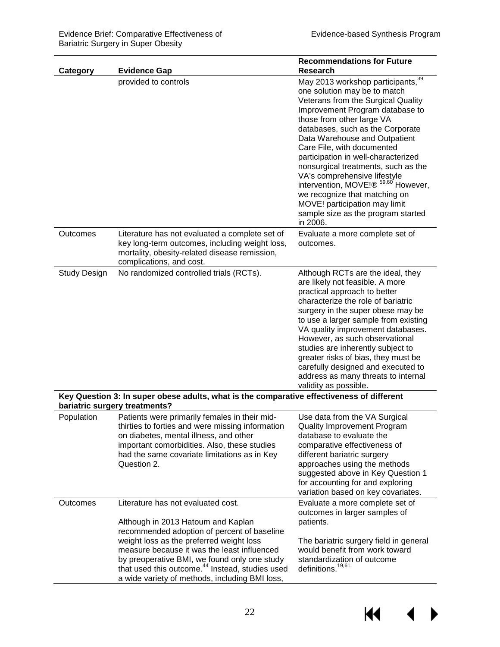| Category                                                                                                                   | <b>Evidence Gap</b>                                                                                                                                                                                                                                                                                                                                                                 | <b>Recommendations for Future</b><br><b>Research</b>                                                                                                                                                                                                                                                                                                                                                                                                                                                                                                              |  |
|----------------------------------------------------------------------------------------------------------------------------|-------------------------------------------------------------------------------------------------------------------------------------------------------------------------------------------------------------------------------------------------------------------------------------------------------------------------------------------------------------------------------------|-------------------------------------------------------------------------------------------------------------------------------------------------------------------------------------------------------------------------------------------------------------------------------------------------------------------------------------------------------------------------------------------------------------------------------------------------------------------------------------------------------------------------------------------------------------------|--|
|                                                                                                                            | provided to controls                                                                                                                                                                                                                                                                                                                                                                | May 2013 workshop participants, $\frac{39}{39}$<br>one solution may be to match<br>Veterans from the Surgical Quality<br>Improvement Program database to<br>those from other large VA<br>databases, such as the Corporate<br>Data Warehouse and Outpatient<br>Care File, with documented<br>participation in well-characterized<br>nonsurgical treatments, such as the<br>VA's comprehensive lifestyle<br>intervention, MOVE!® 59,60 However,<br>we recognize that matching on<br>MOVE! participation may limit<br>sample size as the program started<br>in 2006. |  |
| Outcomes                                                                                                                   | Literature has not evaluated a complete set of<br>key long-term outcomes, including weight loss,<br>mortality, obesity-related disease remission,<br>complications, and cost.                                                                                                                                                                                                       | Evaluate a more complete set of<br>outcomes.                                                                                                                                                                                                                                                                                                                                                                                                                                                                                                                      |  |
| <b>Study Design</b>                                                                                                        | No randomized controlled trials (RCTs).                                                                                                                                                                                                                                                                                                                                             | Although RCTs are the ideal, they<br>are likely not feasible. A more<br>practical approach to better<br>characterize the role of bariatric<br>surgery in the super obese may be<br>to use a larger sample from existing<br>VA quality improvement databases.<br>However, as such observational<br>studies are inherently subject to<br>greater risks of bias, they must be<br>carefully designed and executed to<br>address as many threats to internal<br>validity as possible.                                                                                  |  |
| Key Question 3: In super obese adults, what is the comparative effectiveness of different<br>bariatric surgery treatments? |                                                                                                                                                                                                                                                                                                                                                                                     |                                                                                                                                                                                                                                                                                                                                                                                                                                                                                                                                                                   |  |
| Population                                                                                                                 | Patients were primarily females in their mid-<br>thirties to forties and were missing information<br>on diabetes, mental illness, and other<br>important comorbidities. Also, these studies<br>had the same covariate limitations as in Key<br>Question 2.                                                                                                                          | Use data from the VA Surgical<br><b>Quality Improvement Program</b><br>database to evaluate the<br>comparative effectiveness of<br>different bariatric surgery<br>approaches using the methods<br>suggested above in Key Question 1<br>for accounting for and exploring<br>variation based on key covariates.                                                                                                                                                                                                                                                     |  |
| Outcomes                                                                                                                   | Literature has not evaluated cost.<br>Although in 2013 Hatoum and Kaplan<br>recommended adoption of percent of baseline<br>weight loss as the preferred weight loss<br>measure because it was the least influenced<br>by preoperative BMI, we found only one study<br>that used this outcome. <sup>44</sup> Instead, studies used<br>a wide variety of methods, including BMI loss, | Evaluate a more complete set of<br>outcomes in larger samples of<br>patients.<br>The bariatric surgery field in general<br>would benefit from work toward<br>standardization of outcome<br>definitions. <sup>19,61</sup>                                                                                                                                                                                                                                                                                                                                          |  |

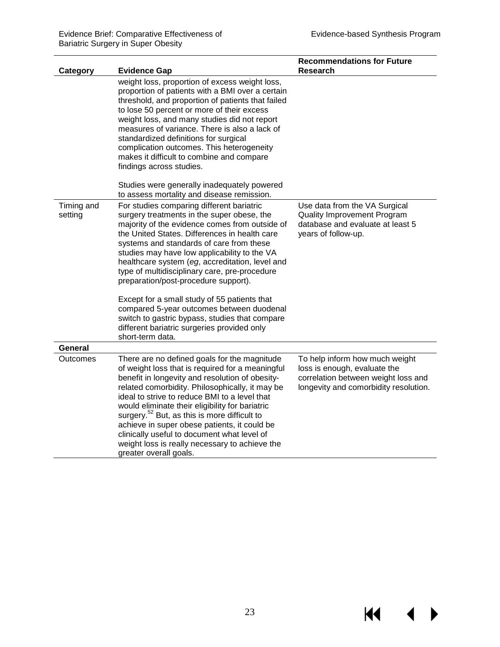<span id="page-25-0"></span> $M \rightarrow$ 

|                       |                                                                                                                                                                                                                                                                                                                                                                                                                                                                                                                                                                                                                                  | <b>Recommendations for Future</b>                                                                                                              |
|-----------------------|----------------------------------------------------------------------------------------------------------------------------------------------------------------------------------------------------------------------------------------------------------------------------------------------------------------------------------------------------------------------------------------------------------------------------------------------------------------------------------------------------------------------------------------------------------------------------------------------------------------------------------|------------------------------------------------------------------------------------------------------------------------------------------------|
| Category              | <b>Evidence Gap</b>                                                                                                                                                                                                                                                                                                                                                                                                                                                                                                                                                                                                              | <b>Research</b>                                                                                                                                |
|                       | weight loss, proportion of excess weight loss,<br>proportion of patients with a BMI over a certain<br>threshold, and proportion of patients that failed<br>to lose 50 percent or more of their excess<br>weight loss, and many studies did not report<br>measures of variance. There is also a lack of<br>standardized definitions for surgical<br>complication outcomes. This heterogeneity<br>makes it difficult to combine and compare<br>findings across studies.                                                                                                                                                            |                                                                                                                                                |
|                       | Studies were generally inadequately powered<br>to assess mortality and disease remission.                                                                                                                                                                                                                                                                                                                                                                                                                                                                                                                                        |                                                                                                                                                |
| Timing and<br>setting | For studies comparing different bariatric<br>surgery treatments in the super obese, the<br>majority of the evidence comes from outside of<br>the United States. Differences in health care<br>systems and standards of care from these<br>studies may have low applicability to the VA<br>healthcare system (eg, accreditation, level and<br>type of multidisciplinary care, pre-procedure<br>preparation/post-procedure support).<br>Except for a small study of 55 patients that<br>compared 5-year outcomes between duodenal<br>switch to gastric bypass, studies that compare<br>different bariatric surgeries provided only | Use data from the VA Surgical<br><b>Quality Improvement Program</b><br>database and evaluate at least 5<br>years of follow-up.                 |
|                       | short-term data.                                                                                                                                                                                                                                                                                                                                                                                                                                                                                                                                                                                                                 |                                                                                                                                                |
| General               |                                                                                                                                                                                                                                                                                                                                                                                                                                                                                                                                                                                                                                  |                                                                                                                                                |
| Outcomes              | There are no defined goals for the magnitude<br>of weight loss that is required for a meaningful<br>benefit in longevity and resolution of obesity-<br>related comorbidity. Philosophically, it may be<br>ideal to strive to reduce BMI to a level that<br>would eliminate their eligibility for bariatric<br>surgery. <sup>52</sup> But, as this is more difficult to<br>achieve in super obese patients, it could be<br>clinically useful to document what level of<br>weight loss is really necessary to achieve the<br>greater overall goals.                                                                                | To help inform how much weight<br>loss is enough, evaluate the<br>correlation between weight loss and<br>longevity and comorbidity resolution. |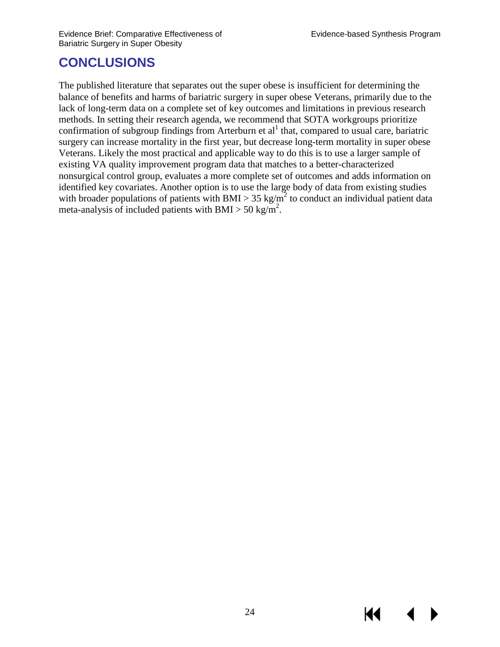## **CONCLUSIONS**

<span id="page-26-0"></span>The published literature that separates out the super obese is insufficient for determining the balance of benefits and harms of bariatric surgery in super obese Veterans, primarily due to the lack of long-term data on a complete set of key outcomes and limitations in previous research methods. In setting their research agenda, we recommend that SOTA workgroups prioritize confirmation of subgroup findings from Arterburn et  $al<sup>1</sup>$  $al<sup>1</sup>$  $al<sup>1</sup>$  that, compared to usual care, bariatric surgery can increase mortality in the first year, but decrease long-term mortality in super obese Veterans. Likely the most practical and applicable way to do this is to use a larger sample of existing VA quality improvement program data that matches to a better-characterized nonsurgical control group, evaluates a more complete set of outcomes and adds information on identified key covariates. Another option is to use the large body of data from existing studies with broader populations of patients with BMI > 35 kg/m<sup>2</sup> to conduct an individual patient data meta-analysis of included patients with BMI > 50 kg/m<sup>2</sup>.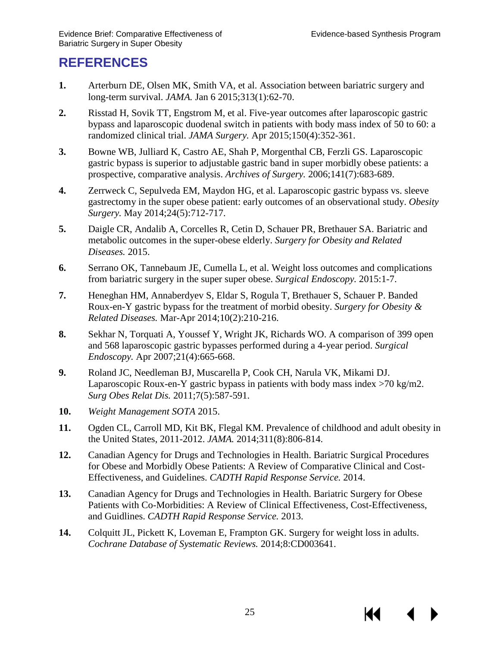## **REFERENCES**

- <span id="page-27-0"></span>**1.** Arterburn DE, Olsen MK, Smith VA, et al. Association between bariatric surgery and long-term survival. *JAMA.* Jan 6 2015;313(1):62-70.
- <span id="page-27-3"></span>**2.** Risstad H, Sovik TT, Engstrom M, et al. Five-year outcomes after laparoscopic gastric bypass and laparoscopic duodenal switch in patients with body mass index of 50 to 60: a randomized clinical trial. *JAMA Surgery.* Apr 2015;150(4):352-361.
- <span id="page-27-1"></span>**3.** Bowne WB, Julliard K, Castro AE, Shah P, Morgenthal CB, Ferzli GS. Laparoscopic gastric bypass is superior to adjustable gastric band in super morbidly obese patients: a prospective, comparative analysis. *Archives of Surgery.* 2006;141(7):683-689.
- <span id="page-27-2"></span>**4.** Zerrweck C, Sepulveda EM, Maydon HG, et al. Laparoscopic gastric bypass vs. sleeve gastrectomy in the super obese patient: early outcomes of an observational study. *Obesity Surgery.* May 2014;24(5):712-717.
- <span id="page-27-4"></span>**5.** Daigle CR, Andalib A, Corcelles R, Cetin D, Schauer PR, Brethauer SA. Bariatric and metabolic outcomes in the super-obese elderly. *Surgery for Obesity and Related Diseases.* 2015.
- <span id="page-27-5"></span>**6.** Serrano OK, Tannebaum JE, Cumella L, et al. Weight loss outcomes and complications from bariatric surgery in the super super obese. *Surgical Endoscopy.* 2015:1-7.
- <span id="page-27-6"></span>**7.** Heneghan HM, Annaberdyev S, Eldar S, Rogula T, Brethauer S, Schauer P. Banded Roux-en-Y gastric bypass for the treatment of morbid obesity. *Surgery for Obesity & Related Diseases.* Mar-Apr 2014;10(2):210-216.
- <span id="page-27-7"></span>**8.** Sekhar N, Torquati A, Youssef Y, Wright JK, Richards WO. A comparison of 399 open and 568 laparoscopic gastric bypasses performed during a 4-year period. *Surgical Endoscopy.* Apr 2007;21(4):665-668.
- <span id="page-27-8"></span>**9.** Roland JC, Needleman BJ, Muscarella P, Cook CH, Narula VK, Mikami DJ. Laparoscopic Roux-en-Y gastric bypass in patients with body mass index  $>70$  kg/m2. *Surg Obes Relat Dis.* 2011;7(5):587-591.
- **10.** *Weight Management SOTA* 2015.
- <span id="page-27-9"></span>**11.** Ogden CL, Carroll MD, Kit BK, Flegal KM. Prevalence of childhood and adult obesity in the United States, 2011-2012. *JAMA.* 2014;311(8):806-814.
- <span id="page-27-10"></span>**12.** Canadian Agency for Drugs and Technologies in Health. Bariatric Surgical Procedures for Obese and Morbidly Obese Patients: A Review of Comparative Clinical and Cost-Effectiveness, and Guidelines. *CADTH Rapid Response Service.* 2014.
- **13.** Canadian Agency for Drugs and Technologies in Health. Bariatric Surgery for Obese Patients with Co-Morbidities: A Review of Clinical Effectiveness, Cost-Effectiveness, and Guidlines. *CADTH Rapid Response Service.* 2013.
- <span id="page-27-11"></span>**14.** Colquitt JL, Pickett K, Loveman E, Frampton GK. Surgery for weight loss in adults. *Cochrane Database of Systematic Reviews.* 2014;8:CD003641.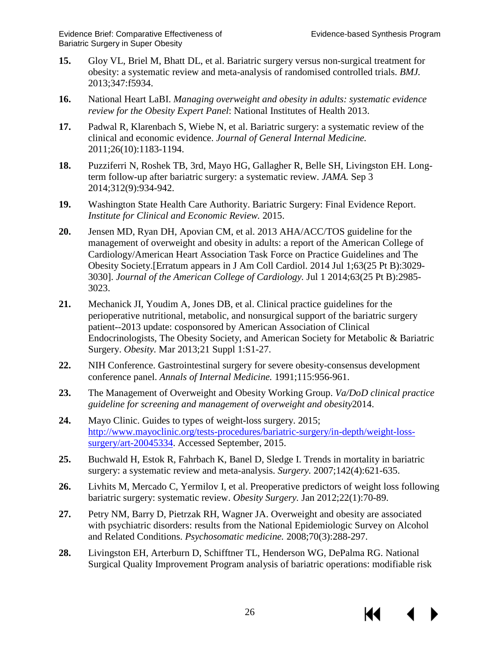КK

- **15.** Gloy VL, Briel M, Bhatt DL, et al. Bariatric surgery versus non-surgical treatment for obesity: a systematic review and meta-analysis of randomised controlled trials. *BMJ.*  2013;347:f5934.
- **16.** National Heart LaBI. *Managing overweight and obesity in adults: systematic evidence review for the Obesity Expert Panel*: National Institutes of Health 2013.
- **17.** Padwal R, Klarenbach S, Wiebe N, et al. Bariatric surgery: a systematic review of the clinical and economic evidence. *Journal of General Internal Medicine.*  2011;26(10):1183-1194.
- **18.** Puzziferri N, Roshek TB, 3rd, Mayo HG, Gallagher R, Belle SH, Livingston EH. Longterm follow-up after bariatric surgery: a systematic review. *JAMA.* Sep 3 2014;312(9):934-942.
- <span id="page-28-4"></span>**19.** Washington State Health Care Authority. Bariatric Surgery: Final Evidence Report. *Institute for Clinical and Economic Review.* 2015.
- <span id="page-28-0"></span>**20.** Jensen MD, Ryan DH, Apovian CM, et al. 2013 AHA/ACC/TOS guideline for the management of overweight and obesity in adults: a report of the American College of Cardiology/American Heart Association Task Force on Practice Guidelines and The Obesity Society.[Erratum appears in J Am Coll Cardiol. 2014 Jul 1;63(25 Pt B):3029- 3030]. *Journal of the American College of Cardiology.* Jul 1 2014;63(25 Pt B):2985- 3023.
- **21.** Mechanick JI, Youdim A, Jones DB, et al. Clinical practice guidelines for the perioperative nutritional, metabolic, and nonsurgical support of the bariatric surgery patient--2013 update: cosponsored by American Association of Clinical Endocrinologists, The Obesity Society, and American Society for Metabolic & Bariatric Surgery. *Obesity.* Mar 2013;21 Suppl 1:S1-27.
- **22.** NIH Conference. Gastrointestinal surgery for severe obesity-consensus development conference panel. *Annals of Internal Medicine.* 1991;115:956-961.
- **23.** The Management of Overweight and Obesity Working Group. *Va/DoD clinical practice guideline for screening and management of overweight and obesity*2014.
- <span id="page-28-1"></span>**24.** Mayo Clinic. Guides to types of weight-loss surgery. 2015; [http://www.mayoclinic.org/tests-procedures/bariatric-surgery/in-depth/weight-loss](http://www.mayoclinic.org/tests-procedures/bariatric-surgery/in-depth/weight-loss-surgery/art-20045334)[surgery/art-20045334.](http://www.mayoclinic.org/tests-procedures/bariatric-surgery/in-depth/weight-loss-surgery/art-20045334) Accessed September, 2015.
- <span id="page-28-2"></span>**25.** Buchwald H, Estok R, Fahrbach K, Banel D, Sledge I. Trends in mortality in bariatric surgery: a systematic review and meta-analysis. *Surgery.* 2007;142(4):621-635.
- <span id="page-28-3"></span>**26.** Livhits M, Mercado C, Yermilov I, et al. Preoperative predictors of weight loss following bariatric surgery: systematic review. *Obesity Surgery.* Jan 2012;22(1):70-89.
- <span id="page-28-5"></span>**27.** Petry NM, Barry D, Pietrzak RH, Wagner JA. Overweight and obesity are associated with psychiatric disorders: results from the National Epidemiologic Survey on Alcohol and Related Conditions. *Psychosomatic medicine.* 2008;70(3):288-297.
- <span id="page-28-6"></span>**28.** Livingston EH, Arterburn D, Schifftner TL, Henderson WG, DePalma RG. National Surgical Quality Improvement Program analysis of bariatric operations: modifiable risk

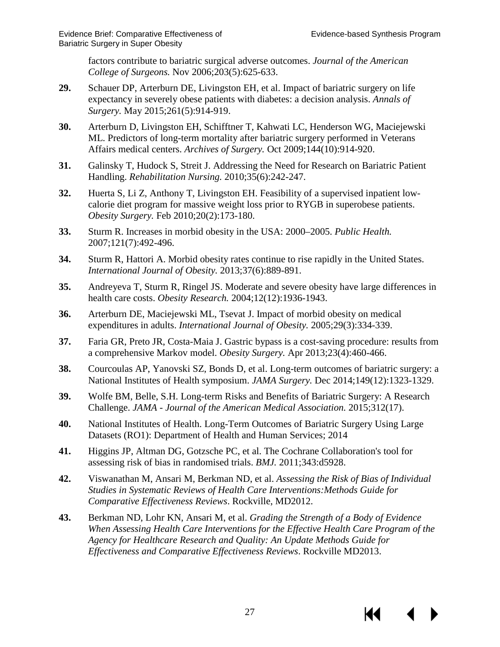factors contribute to bariatric surgical adverse outcomes. *Journal of the American College of Surgeons.* Nov 2006;203(5):625-633.

- <span id="page-29-0"></span>**29.** Schauer DP, Arterburn DE, Livingston EH, et al. Impact of bariatric surgery on life expectancy in severely obese patients with diabetes: a decision analysis. *Annals of Surgery.* May 2015;261(5):914-919.
- <span id="page-29-1"></span>**30.** Arterburn D, Livingston EH, Schifftner T, Kahwati LC, Henderson WG, Maciejewski ML. Predictors of long-term mortality after bariatric surgery performed in Veterans Affairs medical centers. *Archives of Surgery.* Oct 2009;144(10):914-920.
- <span id="page-29-2"></span>**31.** Galinsky T, Hudock S, Streit J. Addressing the Need for Research on Bariatric Patient Handling. *Rehabilitation Nursing.* 2010;35(6):242-247.
- <span id="page-29-3"></span>**32.** Huerta S, Li Z, Anthony T, Livingston EH. Feasibility of a supervised inpatient lowcalorie diet program for massive weight loss prior to RYGB in superobese patients. *Obesity Surgery.* Feb 2010;20(2):173-180.
- <span id="page-29-4"></span>**33.** Sturm R. Increases in morbid obesity in the USA: 2000–2005. *Public Health.*  2007;121(7):492-496.
- <span id="page-29-5"></span>**34.** Sturm R, Hattori A. Morbid obesity rates continue to rise rapidly in the United States. *International Journal of Obesity.* 2013;37(6):889-891.
- <span id="page-29-6"></span>**35.** Andreyeva T, Sturm R, Ringel JS. Moderate and severe obesity have large differences in health care costs. *Obesity Research.* 2004;12(12):1936-1943.
- <span id="page-29-7"></span>**36.** Arterburn DE, Maciejewski ML, Tsevat J. Impact of morbid obesity on medical expenditures in adults. *International Journal of Obesity.* 2005;29(3):334-339.
- <span id="page-29-8"></span>**37.** Faria GR, Preto JR, Costa-Maia J. Gastric bypass is a cost-saving procedure: results from a comprehensive Markov model. *Obesity Surgery.* Apr 2013;23(4):460-466.
- <span id="page-29-9"></span>**38.** Courcoulas AP, Yanovski SZ, Bonds D, et al. Long-term outcomes of bariatric surgery: a National Institutes of Health symposium. *JAMA Surgery.* Dec 2014;149(12):1323-1329.
- <span id="page-29-10"></span>**39.** Wolfe BM, Belle, S.H. Long-term Risks and Benefits of Bariatric Surgery: A Research Challenge. *JAMA - Journal of the American Medical Association.* 2015;312(17).
- <span id="page-29-11"></span>**40.** National Institutes of Health. Long-Term Outcomes of Bariatric Surgery Using Large Datasets (RO1): Department of Health and Human Services; 2014
- <span id="page-29-12"></span>**41.** Higgins JP, Altman DG, Gotzsche PC, et al. The Cochrane Collaboration's tool for assessing risk of bias in randomised trials. *BMJ.* 2011;343:d5928.
- <span id="page-29-13"></span>**42.** Viswanathan M, Ansari M, Berkman ND, et al. *Assessing the Risk of Bias of Individual Studies in Systematic Reviews of Health Care Interventions:Methods Guide for Comparative Effectiveness Reviews*. Rockville, MD2012.
- <span id="page-29-14"></span>**43.** Berkman ND, Lohr KN, Ansari M, et al. *Grading the Strength of a Body of Evidence When Assessing Health Care Interventions for the Effective Health Care Program of the Agency for Healthcare Research and Quality: An Update Methods Guide for Effectiveness and Comparative Effectiveness Reviews*. Rockville MD2013.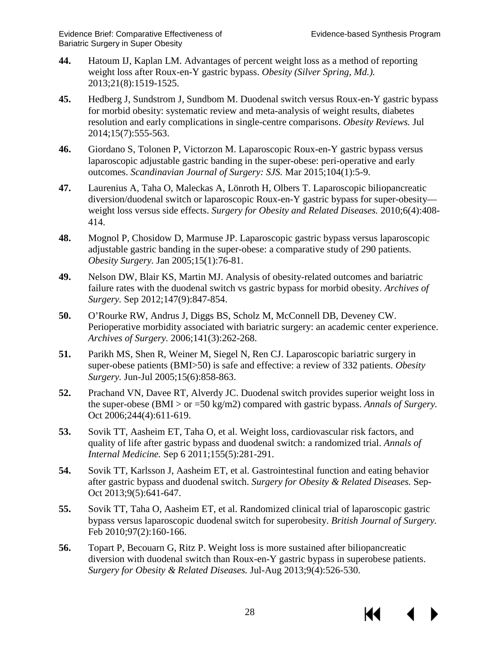- <span id="page-30-2"></span>**44.** Hatoum IJ, Kaplan LM. Advantages of percent weight loss as a method of reporting weight loss after Roux-en-Y gastric bypass. *Obesity (Silver Spring, Md.).*  2013;21(8):1519-1525.
- <span id="page-30-3"></span>**45.** Hedberg J, Sundstrom J, Sundbom M. Duodenal switch versus Roux-en-Y gastric bypass for morbid obesity: systematic review and meta-analysis of weight results, diabetes resolution and early complications in single-centre comparisons. *Obesity Reviews.* Jul 2014;15(7):555-563.
- <span id="page-30-4"></span>**46.** Giordano S, Tolonen P, Victorzon M. Laparoscopic Roux-en-Y gastric bypass versus laparoscopic adjustable gastric banding in the super-obese: peri-operative and early outcomes. *Scandinavian Journal of Surgery: SJS.* Mar 2015;104(1):5-9.
- <span id="page-30-0"></span>**47.** Laurenius A, Taha O, Maleckas A, Lönroth H, Olbers T. Laparoscopic biliopancreatic diversion/duodenal switch or laparoscopic Roux-en-Y gastric bypass for super-obesity weight loss versus side effects. *Surgery for Obesity and Related Diseases.* 2010;6(4):408- 414.
- <span id="page-30-5"></span>**48.** Mognol P, Chosidow D, Marmuse JP. Laparoscopic gastric bypass versus laparoscopic adjustable gastric banding in the super-obese: a comparative study of 290 patients. *Obesity Surgery.* Jan 2005;15(1):76-81.
- <span id="page-30-1"></span>**49.** Nelson DW, Blair KS, Martin MJ. Analysis of obesity-related outcomes and bariatric failure rates with the duodenal switch vs gastric bypass for morbid obesity. *Archives of Surgery.* Sep 2012;147(9):847-854.
- <span id="page-30-9"></span>**50.** O'Rourke RW, Andrus J, Diggs BS, Scholz M, McConnell DB, Deveney CW. Perioperative morbidity associated with bariatric surgery: an academic center experience. *Archives of Surgery.* 2006;141(3):262-268.
- <span id="page-30-6"></span>**51.** Parikh MS, Shen R, Weiner M, Siegel N, Ren CJ. Laparoscopic bariatric surgery in super-obese patients (BMI>50) is safe and effective: a review of 332 patients. *Obesity Surgery.* Jun-Jul 2005;15(6):858-863.
- <span id="page-30-7"></span>**52.** Prachand VN, Davee RT, Alverdy JC. Duodenal switch provides superior weight loss in the super-obese (BMI > or =50 kg/m2) compared with gastric bypass. *Annals of Surgery.*  Oct 2006;244(4):611-619.
- <span id="page-30-10"></span>**53.** Sovik TT, Aasheim ET, Taha O, et al. Weight loss, cardiovascular risk factors, and quality of life after gastric bypass and duodenal switch: a randomized trial. *Annals of Internal Medicine.* Sep 6 2011;155(5):281-291.
- <span id="page-30-12"></span>**54.** Sovik TT, Karlsson J, Aasheim ET, et al. Gastrointestinal function and eating behavior after gastric bypass and duodenal switch. *Surgery for Obesity & Related Diseases.* Sep-Oct 2013;9(5):641-647.
- <span id="page-30-11"></span>**55.** Sovik TT, Taha O, Aasheim ET, et al. Randomized clinical trial of laparoscopic gastric bypass versus laparoscopic duodenal switch for superobesity. *British Journal of Surgery.*  Feb 2010;97(2):160-166.
- <span id="page-30-8"></span>**56.** Topart P, Becouarn G, Ritz P. Weight loss is more sustained after biliopancreatic diversion with duodenal switch than Roux-en-Y gastric bypass in superobese patients. *Surgery for Obesity & Related Diseases.* Jul-Aug 2013;9(4):526-530.